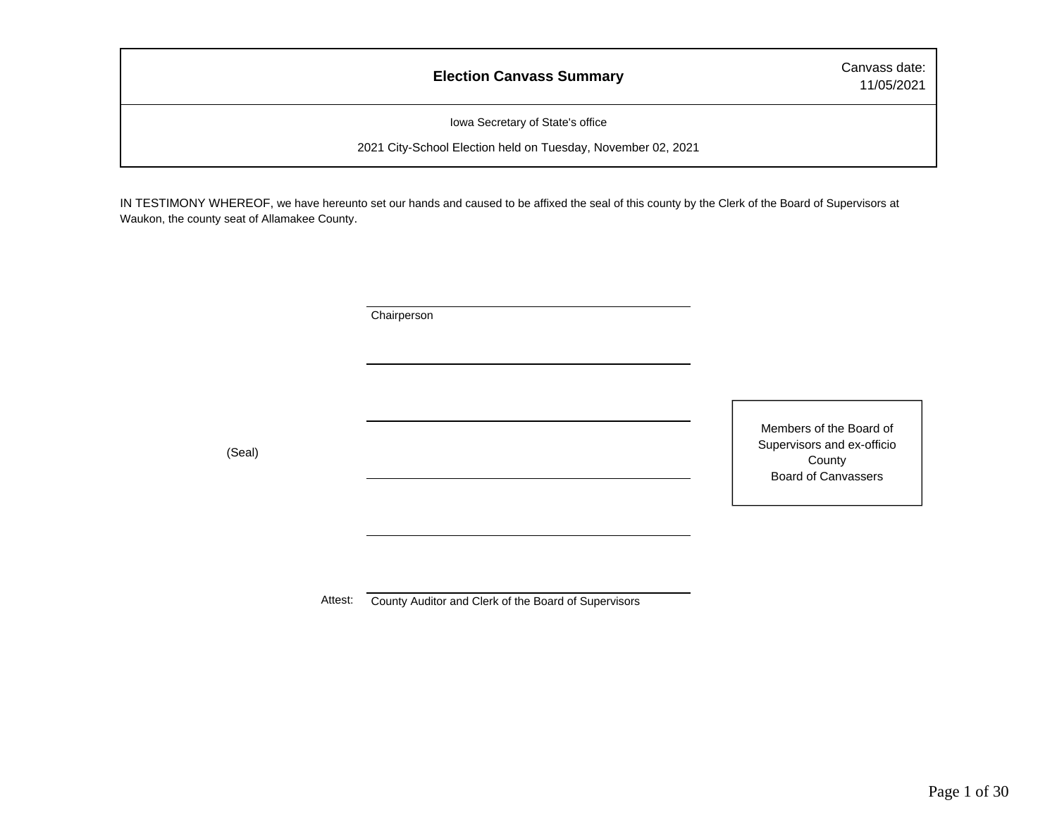### **Election Canvass Summary** Canvass date:

11/05/2021

Iowa Secretary of State's office

2021 City-School Election held on Tuesday, November 02, 2021

IN TESTIMONY WHEREOF, we have hereunto set our hands and caused to be affixed the seal of this county by the Clerk of the Board of Supervisors at Waukon, the county seat of Allamakee County.

**Chairperson** 

(Seal)

Members of the Board of Supervisors and ex-officio County Board of Canvassers

Attest: County Auditor and Clerk of the Board of Supervisors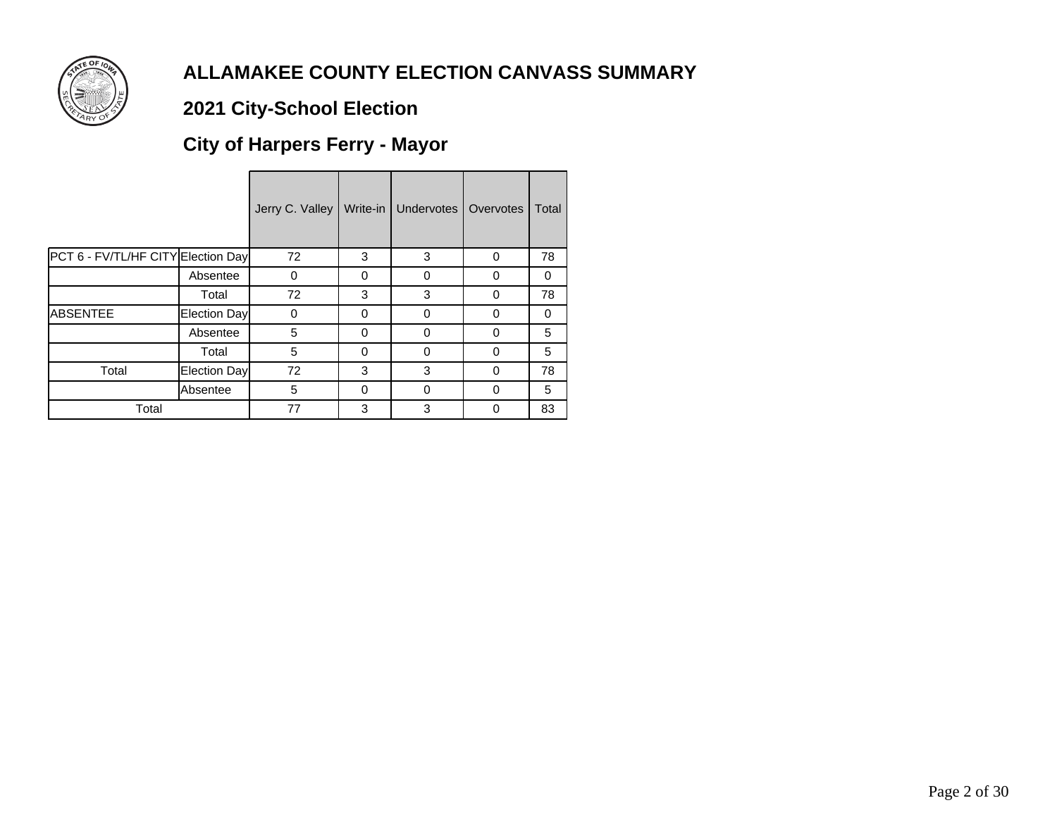

# **2021 City-School Election**

# **City of Harpers Ferry - Mayor**

|                                    |              | Jerry C. Valley | Write-in | <b>Undervotes</b> | Overvotes | Total |
|------------------------------------|--------------|-----------------|----------|-------------------|-----------|-------|
| PCT 6 - FV/TL/HF CITY Election Day |              | 72              | 3        | 3                 | 0         | 78    |
|                                    | Absentee     | 0               | 0        | 0                 | 0         | 0     |
|                                    | Total        | 72              | 3        | 3                 | $\Omega$  | 78    |
| <b>ABSENTEE</b>                    | Election Day | 0               | O        | 0                 | 0         | 0     |
|                                    | Absentee     | 5               | $\Omega$ | 0                 | 0         | 5     |
|                                    | Total        | 5               | $\Omega$ | 0                 | 0         | 5     |
| Total                              | Election Day | 72              | 3        | 3                 | $\Omega$  | 78    |
|                                    | Absentee     | 5               | 0        | 0                 | 0         | 5     |
| Total                              |              | 77              | 3        | 3                 | 0         | 83    |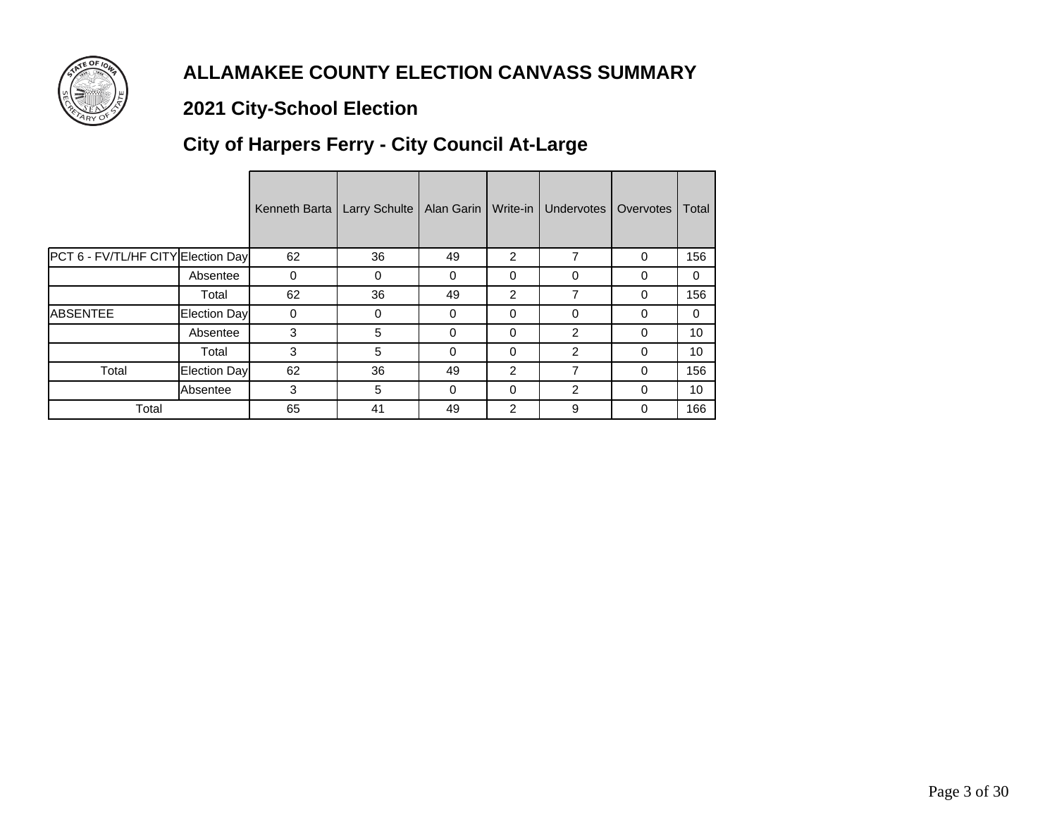

# **2021 City-School Election**

# **City of Harpers Ferry - City Council At-Large**

|                                    |              | Kenneth Barta | <b>Larry Schulte</b> | Alan Garin | Write-in       | <b>Undervotes</b> | Overvotes | Total        |
|------------------------------------|--------------|---------------|----------------------|------------|----------------|-------------------|-----------|--------------|
| PCT 6 - FV/TL/HF CITY Election Day |              | 62            | 36                   | 49         | $\overline{2}$ | 7                 | $\Omega$  | 156          |
|                                    | Absentee     | 0             | $\Omega$             | $\Omega$   | 0              | 0                 | 0         | $\Omega$     |
|                                    | Total        | 62            | 36                   | 49         | $\overline{2}$ | 7                 | $\Omega$  | 156          |
| <b>ABSENTEE</b>                    | Election Day | $\Omega$      | $\Omega$             | $\Omega$   | 0              | $\Omega$          | $\Omega$  | $\mathbf{0}$ |
|                                    | Absentee     | 3             | 5                    | $\Omega$   | 0              | $\mathcal{P}$     | 0         | 10           |
|                                    | Total        | 3             | 5                    | $\Omega$   | $\Omega$       | 2                 | 0         | 10           |
| Total                              | Election Day | 62            | 36                   | 49         | $\overline{2}$ | 7                 | $\Omega$  | 156          |
|                                    | Absentee     | 3             | 5                    | $\Omega$   | 0              | 2                 | $\Omega$  | 10           |
| Total                              |              | 65            | 41                   | 49         | $\overline{2}$ | 9                 | $\Omega$  | 166          |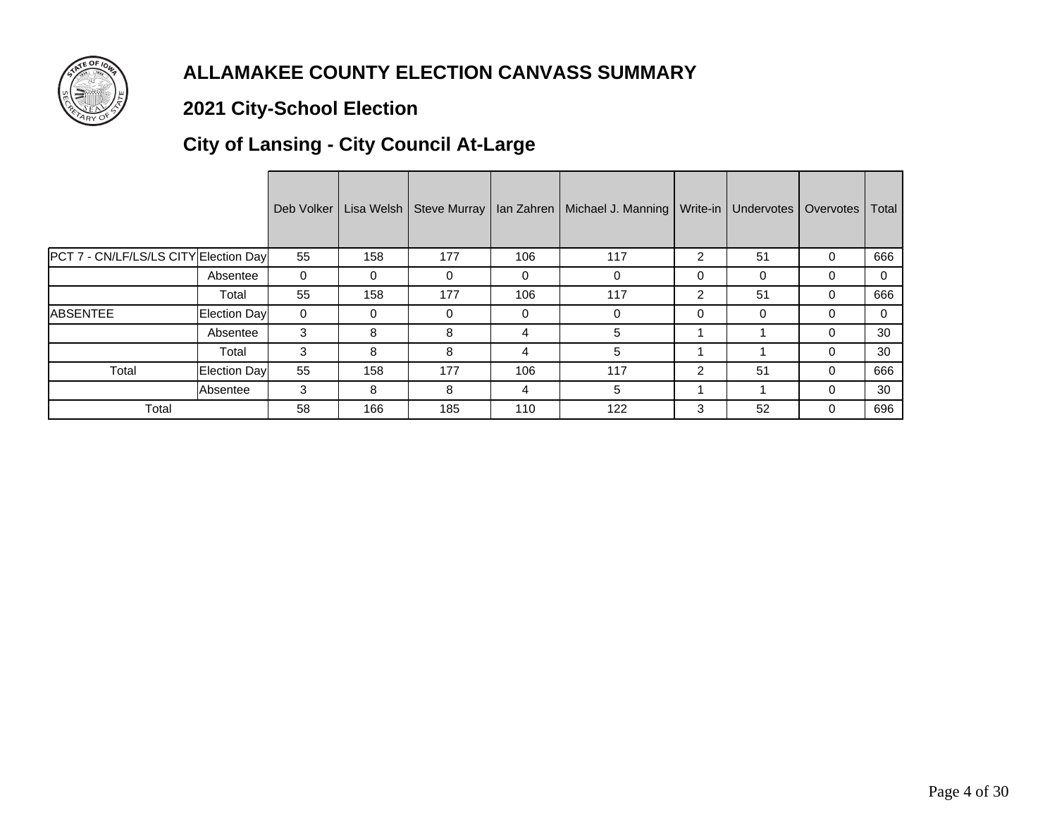

# **2021 City-School Election**

# **City of Lansing - City Council At-Large**

|                                       |                     | Deb Volker |     | Lisa Welsh   Steve Murray | lan Zahren | Michael J. Manning   Write-in |                | Undervotes | Overvotes | Total |
|---------------------------------------|---------------------|------------|-----|---------------------------|------------|-------------------------------|----------------|------------|-----------|-------|
| PCT 7 - CN/LF/LS/LS CITY Election Day |                     | 55         | 158 | 177                       | 106        | 117                           | 2              | 51         | 0         | 666   |
|                                       | Absentee            | 0          | 0   | 0                         | 0          | 0                             | 0              | 0          | 0         | 0     |
|                                       | Total               | 55         | 158 | 177                       | 106        | 117                           | $\overline{2}$ | 51         | 0         | 666   |
| <b>ABSENTEE</b>                       | <b>Election Day</b> | 0          | 0   | 0                         | 0          | $\Omega$                      | 0              | 0          | $\Omega$  | 0     |
|                                       | Absentee            | 3          | 8   | 8                         | 4          | 5                             |                |            | $\Omega$  | 30    |
|                                       | Total               | 3          | 8   | 8                         | 4          | 5                             |                |            | $\Omega$  | 30    |
| Total                                 | Election Day        | 55         | 158 | 177                       | 106        | 117                           | $\overline{2}$ | 51         | $\Omega$  | 666   |
|                                       | Absentee            | 3          | 8   | 8                         | 4          | 5                             |                |            | 0         | 30    |
| Total                                 |                     | 58         | 166 | 185                       | 110        | 122                           | 3              | 52         | $\Omega$  | 696   |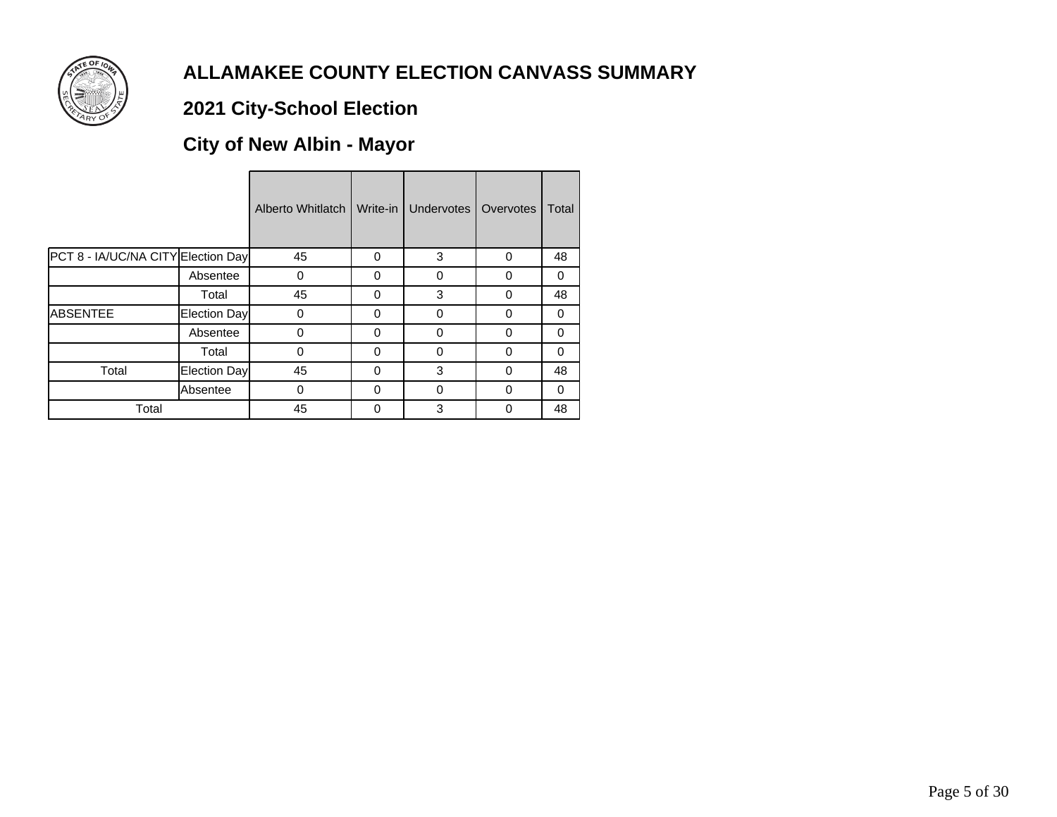

# **2021 City-School Election**

# **City of New Albin - Mayor**

|                                    |              | Alberto Whitlatch | Write-in | Undervotes | Overvotes | Total    |
|------------------------------------|--------------|-------------------|----------|------------|-----------|----------|
| PCT 8 - IA/UC/NA CITY Election Day |              | 45                | 0        | 3          | $\Omega$  | 48       |
|                                    | Absentee     | 0                 | 0        | 0          | 0         | 0        |
|                                    | Total        | 45                | 0        | 3          | $\Omega$  | 48       |
| <b>ABSENTEE</b>                    | Election Day | 0                 | 0        | 0          | $\Omega$  | 0        |
|                                    | Absentee     | 0                 | $\Omega$ | $\Omega$   | $\Omega$  | 0        |
|                                    | Total        | 0                 | $\Omega$ | $\Omega$   | 0         | $\Omega$ |
| Total                              | Election Day | 45                | $\Omega$ | 3          | $\Omega$  | 48       |
|                                    | Absentee     | 0                 | $\Omega$ | 0          | $\Omega$  | 0        |
| Total                              |              | 45                | 0        | 3          | $\Omega$  | 48       |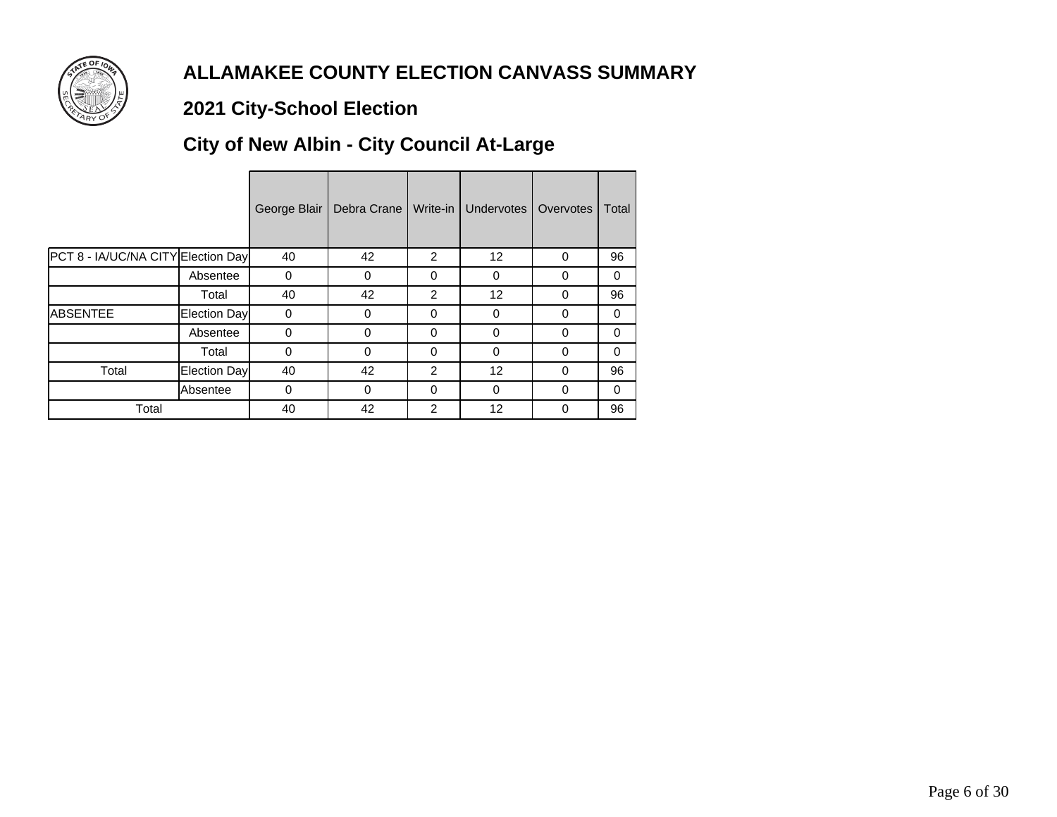

# **2021 City-School Election**

# **City of New Albin - City Council At-Large**

|                                    |              | George Blair | Debra Crane | Write-in       | Undervotes | Overvotes | Total    |
|------------------------------------|--------------|--------------|-------------|----------------|------------|-----------|----------|
| PCT 8 - IA/UC/NA CITY Election Day |              | 40           | 42          | 2              | 12         | 0         | 96       |
|                                    | Absentee     | 0            | 0           | $\Omega$       | 0          | 0         | 0        |
|                                    | Total        | 40           | 42          | $\overline{2}$ | 12         | 0         | 96       |
| <b>ABSENTEE</b>                    | Election Day | 0            | 0           | $\Omega$       | $\Omega$   | 0         | 0        |
|                                    | Absentee     | $\Omega$     | $\Omega$    | $\Omega$       | $\Omega$   | 0         | $\Omega$ |
|                                    | Total        | 0            | $\Omega$    | $\Omega$       | $\Omega$   | 0         | $\Omega$ |
| Total                              | Election Day | 40           | 42          | $\overline{2}$ | 12         | 0         | 96       |
|                                    | Absentee     | 0            | $\Omega$    | $\Omega$       | $\Omega$   | 0         | $\Omega$ |
| Total                              |              | 40           | 42          | 2              | 12         | 0         | 96       |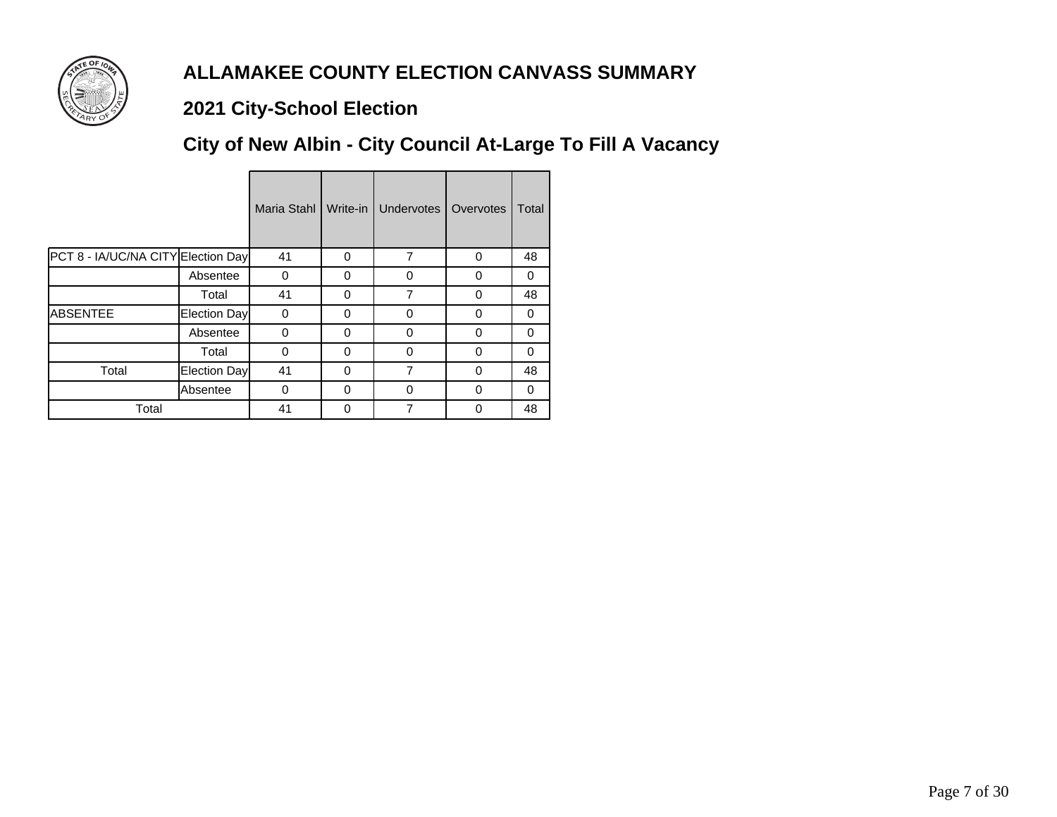

# **2021 City-School Election**

# **City of New Albin - City Council At-Large To Fill A Vacancy**

|                                    |                     | Maria Stahl | Write-in | <b>Undervotes</b> | Overvotes | Total |
|------------------------------------|---------------------|-------------|----------|-------------------|-----------|-------|
| PCT 8 - IA/UC/NA CITY Election Day |                     | 41          | 0        | 7                 | 0         | 48    |
|                                    | Absentee            | $\Omega$    | 0        | $\Omega$          | 0         | 0     |
|                                    | Total               | 41          | 0        | $\overline{7}$    | 0         | 48    |
| <b>ABSENTEE</b>                    | <b>Election Day</b> | $\Omega$    | 0        | $\Omega$          | 0         | 0     |
|                                    | Absentee            | $\Omega$    | 0        | ∩                 | 0         | 0     |
|                                    | Total               | $\Omega$    | $\Omega$ | $\Omega$          | 0         | 0     |
| Total                              | <b>Election Day</b> | 41          | 0        | $\overline{7}$    | 0         | 48    |
|                                    | Absentee            | $\Omega$    | $\Omega$ | $\Omega$          | $\Omega$  | 0     |
| Total                              |                     | 41          | 0        | 7                 | 0         | 48    |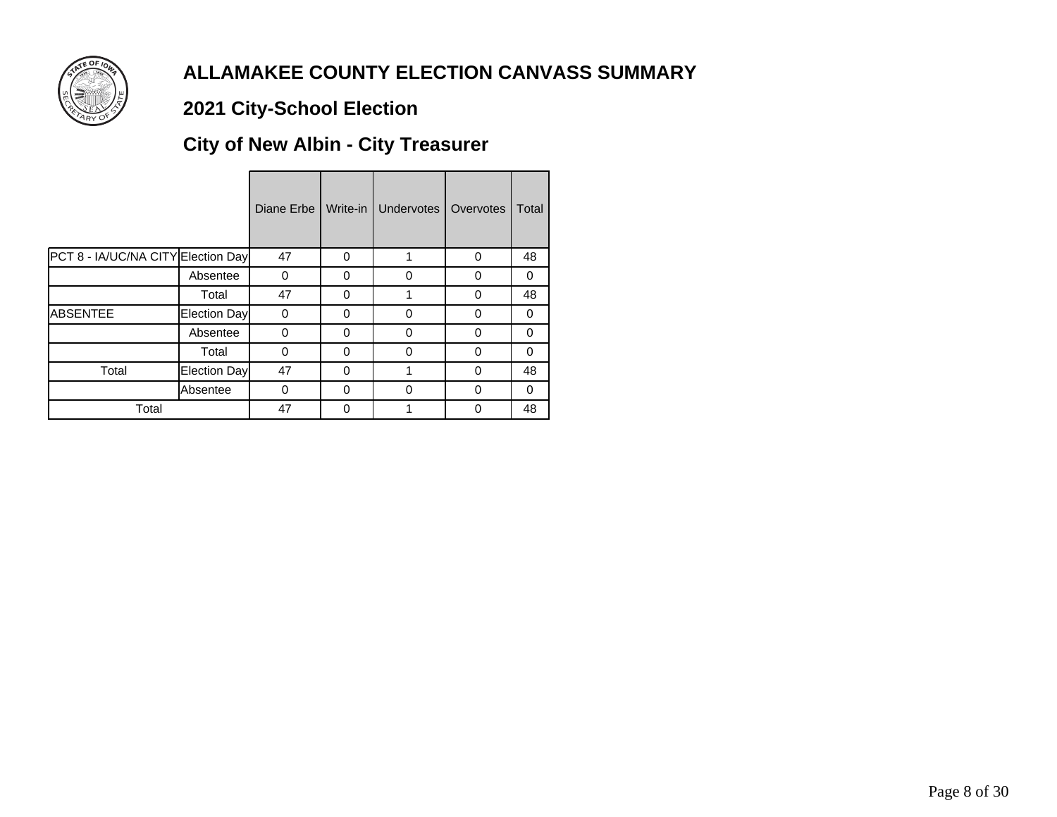

# **2021 City-School Election**

# **City of New Albin - City Treasurer**

|                                    |              | Diane Erbe | Write-in | Undervotes | Overvotes | Total    |
|------------------------------------|--------------|------------|----------|------------|-----------|----------|
| PCT 8 - IA/UC/NA CITY Election Day |              | 47         | 0        |            | 0         | 48       |
|                                    | Absentee     | 0          | 0        | $\Omega$   | $\Omega$  | 0        |
|                                    | Total        | 47         | 0        |            | 0         | 48       |
| <b>ABSENTEE</b>                    | Election Day | 0          | 0        | $\Omega$   | 0         | 0        |
|                                    | Absentee     | 0          | 0        | $\Omega$   | $\Omega$  | $\Omega$ |
|                                    | Total        | 0          | $\Omega$ | $\Omega$   | $\Omega$  | $\Omega$ |
| Total                              | Election Day | 47         | 0        |            | 0         | 48       |
|                                    | Absentee     | $\Omega$   | 0        | $\Omega$   | $\Omega$  | $\Omega$ |
| Total                              |              | 47         | 0        |            | 0         | 48       |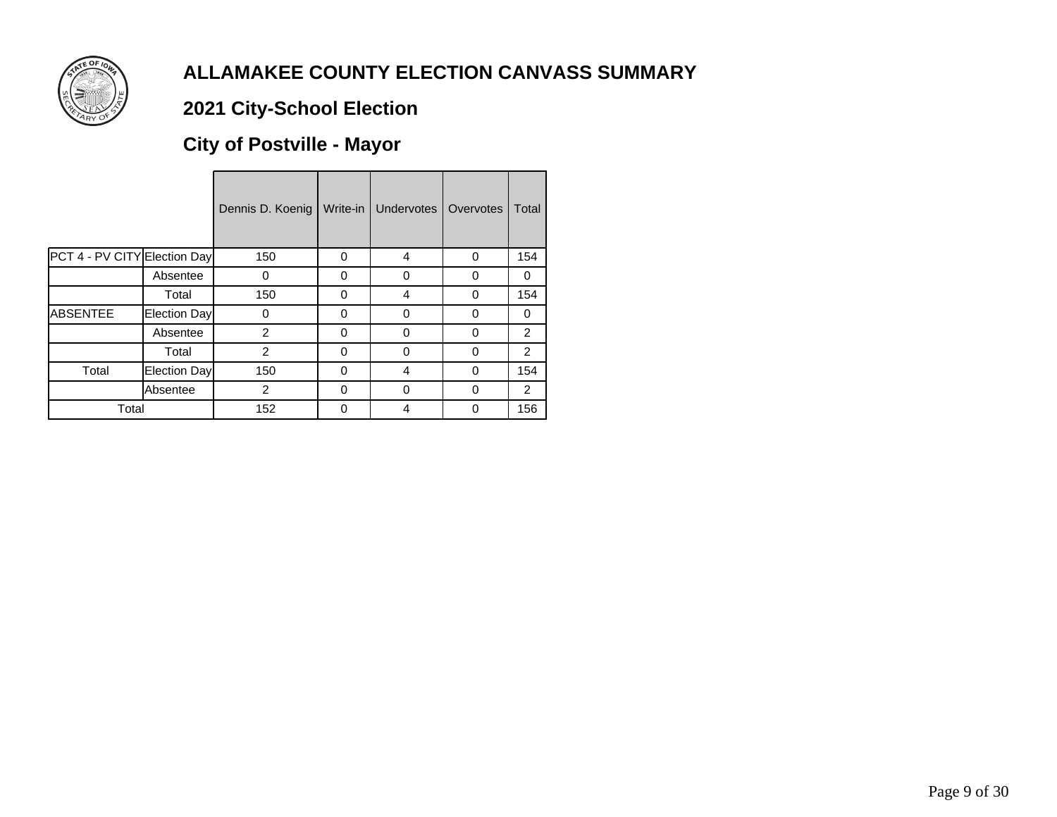

# **2021 City-School Election**

# **City of Postville - Mayor**

|                              |              | Dennis D. Koenig | Write-in | Undervotes | Overvotes | Total          |
|------------------------------|--------------|------------------|----------|------------|-----------|----------------|
| PCT 4 - PV CITY Election Day |              | 150              | 0        | 4          | 0         | 154            |
|                              | Absentee     | 0                | 0        | $\Omega$   | 0         | 0              |
|                              | Total        | 150              | 0        | 4          | 0         | 154            |
| <b>ABSENTEE</b>              | Election Day | 0                | 0        | 0          | 0         | 0              |
|                              | Absentee     | 2                | $\Omega$ | 0          | 0         | $\mathcal{P}$  |
|                              | Total        | 2                | $\Omega$ | 0          | 0         | $\overline{2}$ |
| Total                        | Election Day | 150              | $\Omega$ | 4          | 0         | 154            |
|                              | Absentee     | 2                | 0        | 0          | 0         | 2              |
| Total                        |              | 152              | 0        | 4          | 0         | 156            |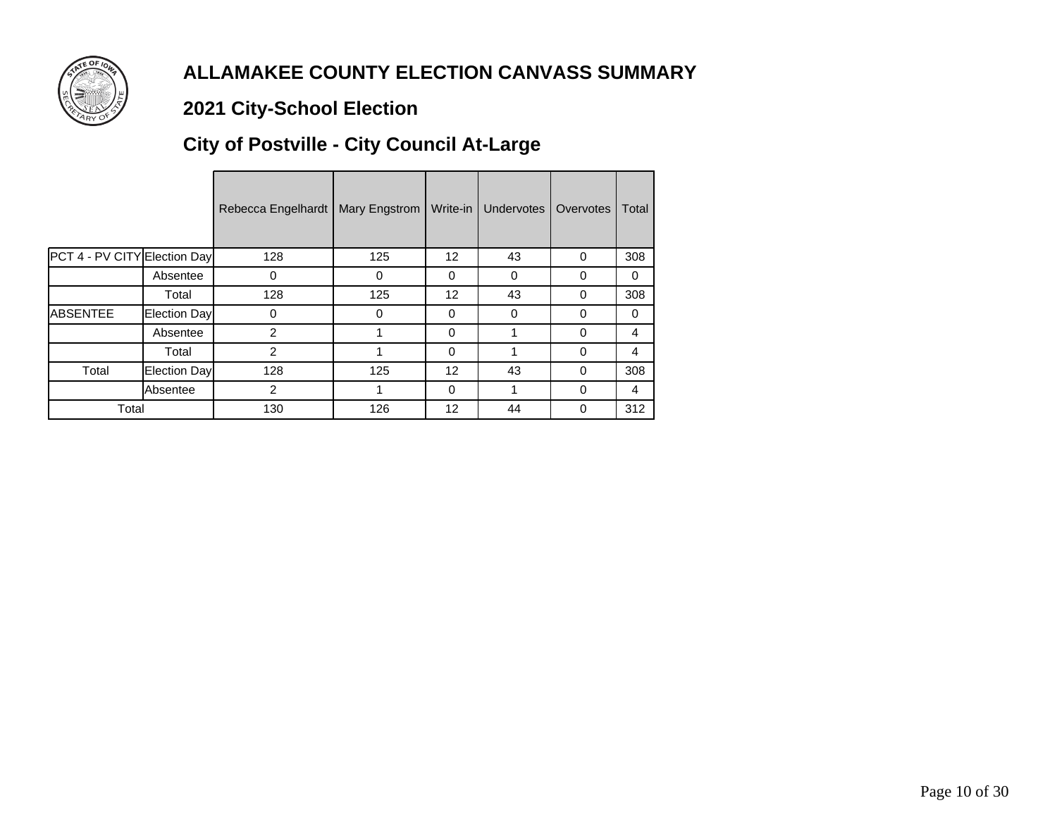

# **2021 City-School Election**

# **City of Postville - City Council At-Large**

|                              |                     | Rebecca Engelhardt | Mary Engstrom | Write-in        | Undervotes | Overvotes | Total |
|------------------------------|---------------------|--------------------|---------------|-----------------|------------|-----------|-------|
| PCT 4 - PV CITY Election Day |                     | 128                | 125           | 12 <sup>2</sup> | 43         | $\Omega$  | 308   |
|                              | Absentee            | 0                  | 0             | 0               | 0          | 0         | 0     |
|                              | Total               | 128                | 125           | 12              | 43         | 0         | 308   |
| <b>ABSENTEE</b>              | Election Day        | $\Omega$           | 0             | 0               | 0          | 0         | 0     |
|                              | Absentee            | 2                  |               | 0               |            | 0         | 4     |
|                              | Total               | $\overline{2}$     |               | 0               |            | 0         | 4     |
| Total                        | <b>Election Day</b> | 128                | 125           | 12              | 43         | 0         | 308   |
|                              | Absentee            | 2                  |               | 0               |            | 0         | 4     |
| Total                        |                     | 130                | 126           | 12              | 44         | 0         | 312   |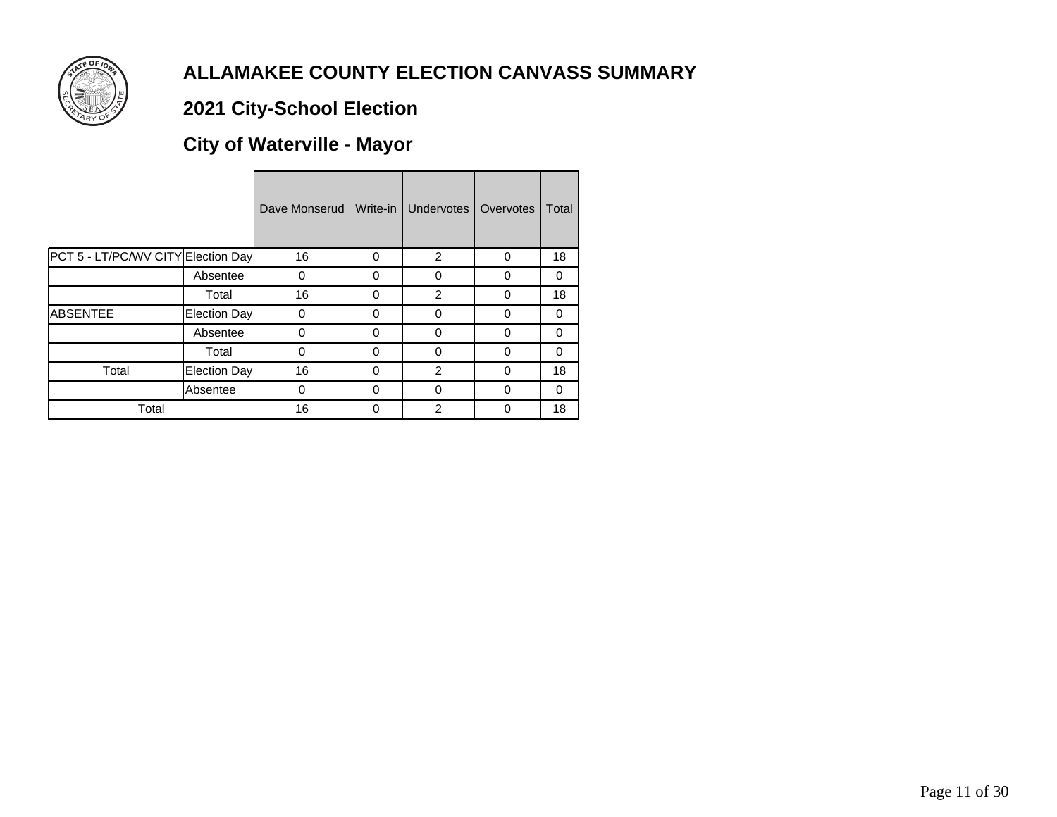

# **2021 City-School Election**

# **City of Waterville - Mayor**

|                                    |                 | Dave Monserud | Write-in     | Undervotes     | Overvotes | Total    |
|------------------------------------|-----------------|---------------|--------------|----------------|-----------|----------|
| PCT 5 - LT/PC/WV CITY Election Day |                 | 16            | 0            | 2              | 0         | 18       |
|                                    | Absentee        | 0             | $\Omega$     | 0              | 0         | 0        |
|                                    | Total           | 16            | $\Omega$     | 2              | $\Omega$  | 18       |
| <b>ABSENTEE</b>                    | Election Day    | 0             | $\Omega$     | 0              | $\Omega$  | 0        |
|                                    | Absentee        | 0             | $\Omega$     | $\Omega$       | $\Omega$  | $\Omega$ |
|                                    | Total           | 0             | $\Omega$     | $\Omega$       | 0         | $\Omega$ |
| Total                              | Election Day    | 16            | $\Omega$     | 2              | $\Omega$  | 18       |
|                                    | <b>Absentee</b> | 0             | $\Omega$     | $\Omega$       | 0         | 0        |
| Total                              |                 | 16            | <sup>0</sup> | $\overline{2}$ | 0         | 18       |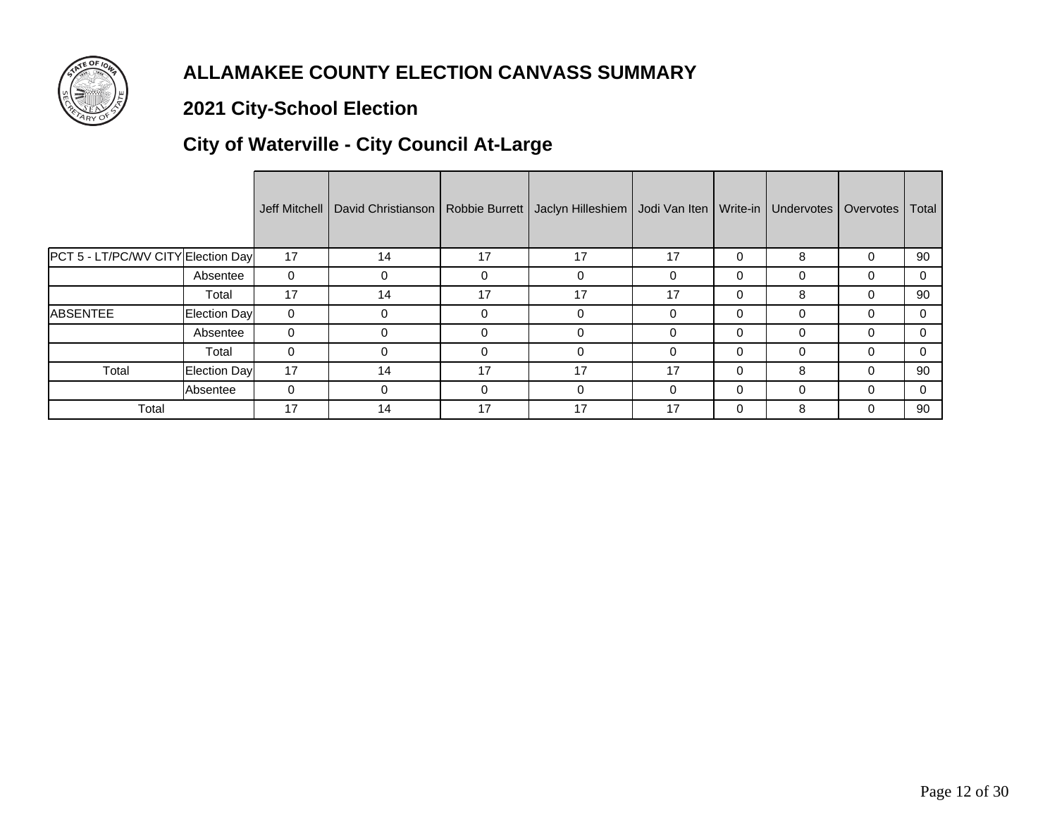

# **2021 City-School Election**

# **City of Waterville - City Council At-Large**

|                                    |              |              | Jeff Mitchell   David Christianson | Robbie Burrett | Jaclyn Hilleshiem   Jodi Van Iten   Write-in |          |          | Undervotes   Overvotes | Total |
|------------------------------------|--------------|--------------|------------------------------------|----------------|----------------------------------------------|----------|----------|------------------------|-------|
| PCT 5 - LT/PC/WV CITY Election Day |              | 17           | 14                                 | 17             | 17                                           | 17       | $\Omega$ | 8                      | 90    |
|                                    | Absentee     | 0            |                                    | 0              | 0                                            | $\Omega$ | $\Omega$ |                        | 0     |
|                                    | Total        | 17           | 14                                 | 17             | 17                                           | 17       | 0        | 8                      | 90    |
| <b>ABSENTEE</b>                    | Election Day | $\mathbf{0}$ |                                    | 0              | 0                                            | $\Omega$ | $\Omega$ |                        |       |
|                                    | Absentee     | $\Omega$     | 0                                  | 0              | $\Omega$                                     | $\Omega$ | $\Omega$ | 0                      | 0     |
|                                    | Total        | $\Omega$     | 0                                  | $\Omega$       | $\Omega$                                     | $\Omega$ | $\Omega$ | 0                      | 0     |
| Total                              | Election Day | 17           | 14                                 | 17             | 17                                           | 17       | $\Omega$ | 8                      | 90    |
|                                    | Absentee     | 0            | 0                                  | 0              | 0                                            | $\Omega$ | $\Omega$ | 0                      | 0     |
| Total                              |              | 17           | 14                                 | 17             | 17                                           | 17       | $\Omega$ | 8                      | 90    |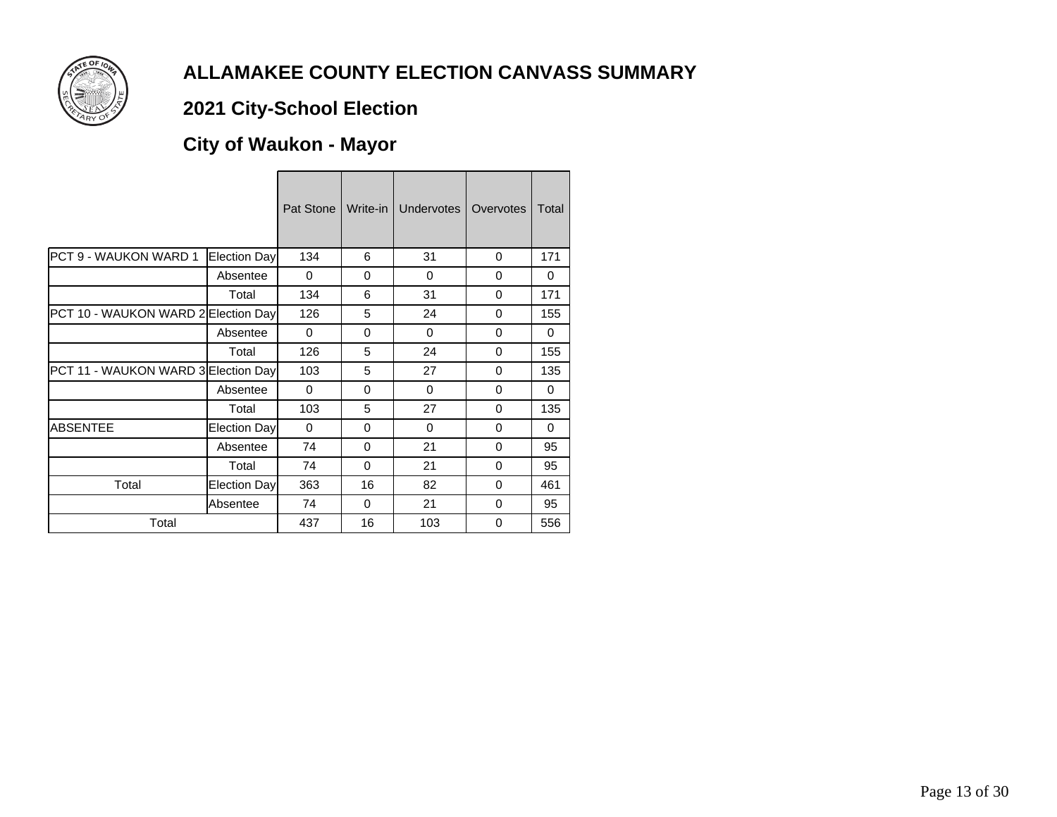

# **2021 City-School Election**

# **City of Waukon - Mayor**

|                                     |              | Pat Stone | Write-in | <b>Undervotes</b> | Overvotes | Total    |
|-------------------------------------|--------------|-----------|----------|-------------------|-----------|----------|
| <b>PCT 9 - WAUKON WARD 1</b>        | Election Day | 134       | 6        | 31                | 0         | 171      |
|                                     | Absentee     | $\Omega$  | $\Omega$ | $\Omega$          | $\Omega$  | 0        |
|                                     | Total        | 134       | 6        | 31                | 0         | 171      |
| PCT 10 - WAUKON WARD 2 Election Day |              | 126       | 5        | 24                | $\Omega$  | 155      |
|                                     | Absentee     | $\Omega$  | $\Omega$ | 0                 | $\Omega$  | $\Omega$ |
|                                     | Total        | 126       | 5        | 24                | $\Omega$  | 155      |
| PCT 11 - WAUKON WARD 3 Election Day |              | 103       | 5        | 27                | $\Omega$  | 135      |
|                                     | Absentee     | $\Omega$  | $\Omega$ | $\Omega$          | $\Omega$  | $\Omega$ |
|                                     | Total        | 103       | 5        | 27                | $\Omega$  | 135      |
| <b>ABSENTEE</b>                     | Election Day | $\Omega$  | $\Omega$ | 0                 | $\Omega$  | 0        |
|                                     | Absentee     | 74        | $\Omega$ | 21                | $\Omega$  | 95       |
|                                     | Total        | 74        | $\Omega$ | 21                | 0         | 95       |
| Total                               | Election Day | 363       | 16       | 82                | $\Omega$  | 461      |
|                                     | Absentee     | 74        | $\Omega$ | 21                | $\Omega$  | 95       |
| Total                               |              | 437       | 16       | 103               | 0         | 556      |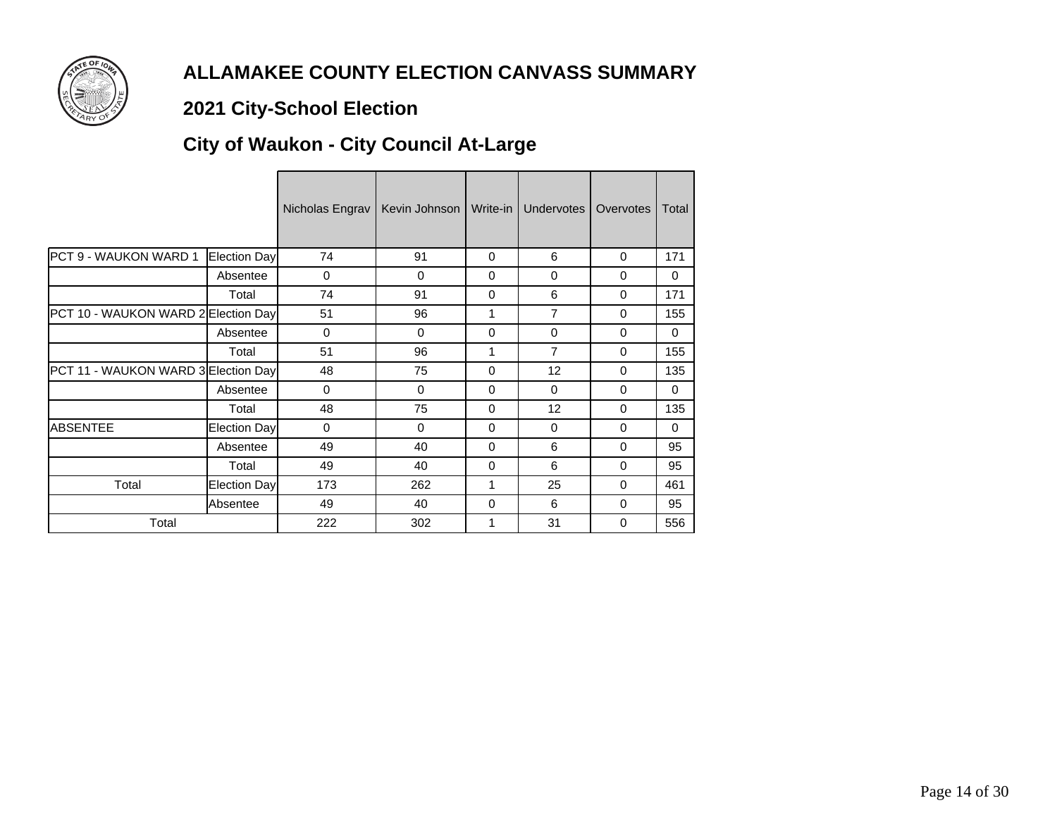

# **2021 City-School Election**

# **City of Waukon - City Council At-Large**

|                                     |              | Nicholas Engrav | Kevin Johnson | Write-in    | Undervotes     | Overvotes | Total    |
|-------------------------------------|--------------|-----------------|---------------|-------------|----------------|-----------|----------|
| PCT 9 - WAUKON WARD 1               | Election Day | 74              | 91            | $\Omega$    | 6              | 0         | 171      |
|                                     | Absentee     | 0               | $\Omega$      | $\Omega$    | $\Omega$       | 0         | $\Omega$ |
|                                     | Total        | 74              | 91            | 0           | 6              | 0         | 171      |
| PCT 10 - WAUKON WARD 2 Election Day |              | 51              | 96            | 1           | $\overline{7}$ | 0         | 155      |
|                                     | Absentee     | 0               | $\Omega$      | $\Omega$    | 0              | 0         | $\Omega$ |
|                                     | Total        | 51              | 96            | 1           | $\overline{7}$ | $\Omega$  | 155      |
| PCT 11 - WAUKON WARD 3 Election Day |              | 48              | 75            | $\Omega$    | 12             | 0         | 135      |
|                                     | Absentee     | $\mathbf 0$     | $\Omega$      | $\mathbf 0$ | $\Omega$       | 0         | $\Omega$ |
|                                     | Total        | 48              | 75            | $\Omega$    | 12             | $\Omega$  | 135      |
| <b>ABSENTEE</b>                     | Election Day | $\mathbf 0$     | $\Omega$      | $\Omega$    | $\Omega$       | 0         | $\Omega$ |
|                                     | Absentee     | 49              | 40            | $\Omega$    | 6              | 0         | 95       |
|                                     | Total        | 49              | 40            | 0           | 6              | 0         | 95       |
| Total                               | Election Day | 173             | 262           | 1           | 25             | $\Omega$  | 461      |
|                                     | Absentee     | 49              | 40            | $\Omega$    | 6              | $\Omega$  | 95       |
| Total                               |              | 222             | 302           | 1           | 31             | 0         | 556      |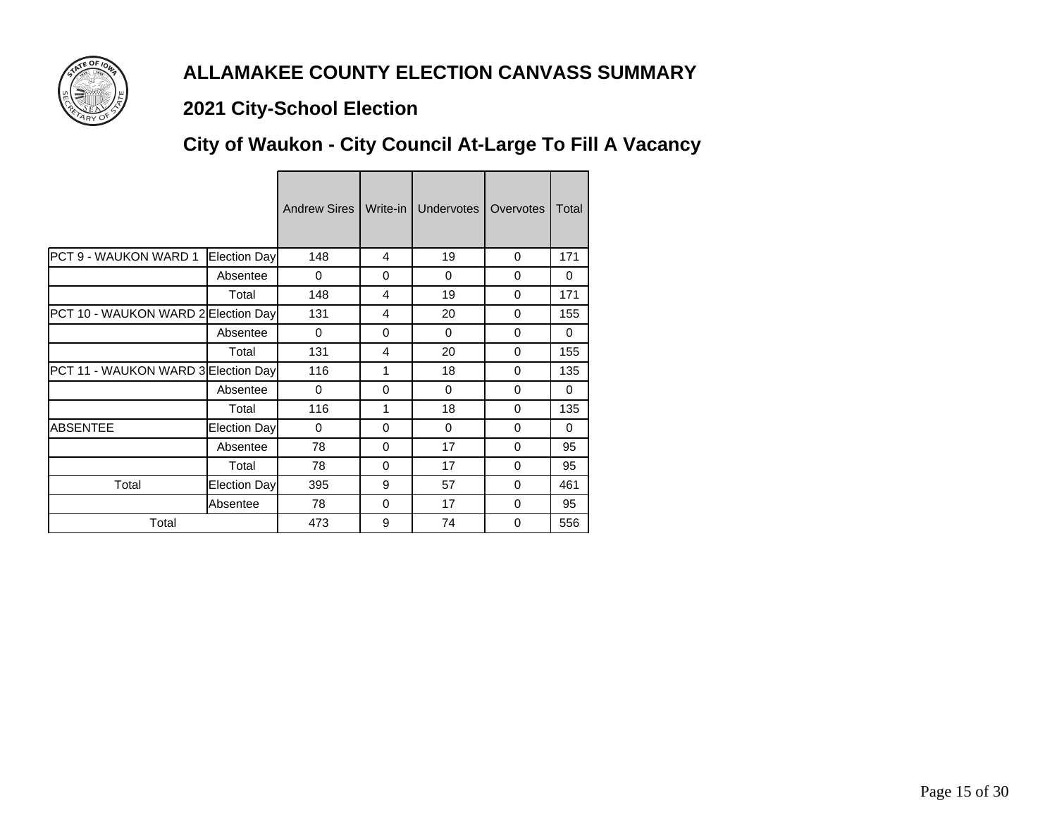

### **2021 City-School Election**

# **City of Waukon - City Council At-Large To Fill A Vacancy**

|                                     |              | Andrew Sires I |                | Write-in   Undervotes | Overvotes | Total    |
|-------------------------------------|--------------|----------------|----------------|-----------------------|-----------|----------|
| PCT 9 - WAUKON WARD 1               | Election Day | 148            | 4              | 19                    | $\Omega$  | 171      |
|                                     | Absentee     | $\Omega$       | 0              | $\Omega$              | $\Omega$  | $\Omega$ |
|                                     | Total        | 148            | $\overline{4}$ | 19                    | $\Omega$  | 171      |
| PCT 10 - WAUKON WARD 2 Election Day |              | 131            | $\overline{4}$ | 20                    | $\Omega$  | 155      |
|                                     | Absentee     | $\Omega$       | $\Omega$       | $\Omega$              | $\Omega$  | $\Omega$ |
|                                     | Total        | 131            | $\overline{4}$ | 20                    | $\Omega$  | 155      |
| PCT 11 - WAUKON WARD 3 Election Day |              | 116            | 1              | 18                    | $\Omega$  | 135      |
|                                     | Absentee     | $\Omega$       | $\Omega$       | $\Omega$              | $\Omega$  | $\Omega$ |
|                                     | Total        | 116            | 1              | 18                    | $\Omega$  | 135      |
| <b>ABSENTEE</b>                     | Election Day | $\Omega$       | $\Omega$       | $\Omega$              | $\Omega$  | $\Omega$ |
|                                     | Absentee     | 78             | $\Omega$       | 17                    | $\Omega$  | 95       |
|                                     | Total        | 78             | 0              | 17                    | 0         | 95       |
| Total                               | Election Day | 395            | 9              | 57                    | 0         | 461      |
|                                     | Absentee     | 78             | 0              | 17                    | 0         | 95       |
| Total                               |              | 473            | 9              | 74                    | 0         | 556      |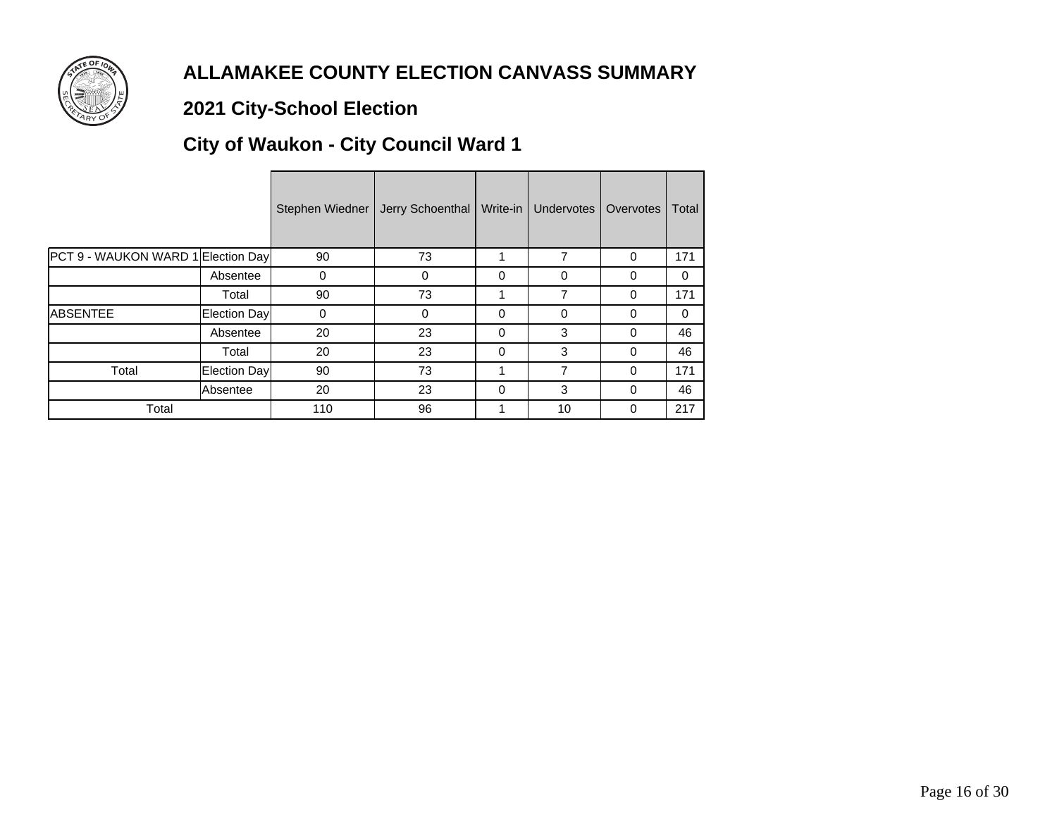

# **2021 City-School Election**

# **City of Waukon - City Council Ward 1**

|                                    |              | Stephen Wiedner | Jerry Schoenthal | Write-in | Undervotes  | Overvotes | Total    |
|------------------------------------|--------------|-----------------|------------------|----------|-------------|-----------|----------|
| PCT 9 - WAUKON WARD 1 Election Day |              | 90              | 73               |          | 7           | $\Omega$  | 171      |
|                                    | Absentee     | 0               | 0                | 0        | 0           | 0         | $\Omega$ |
|                                    | Total        | 90              | 73               | 1        | 7           | 0         | 171      |
| <b>ABSENTEE</b>                    | Election Day | 0               | $\Omega$         | $\Omega$ | $\mathbf 0$ | $\Omega$  | $\Omega$ |
|                                    | Absentee     | 20              | 23               | $\Omega$ | 3           | $\Omega$  | 46       |
|                                    | Total        | 20              | 23               | $\Omega$ | 3           | $\Omega$  | 46       |
| Total                              | Election Day | 90              | 73               |          | 7           | $\Omega$  | 171      |
|                                    | Absentee     | 20              | 23               | $\Omega$ | 3           | $\Omega$  | 46       |
| Total                              |              | 110             | 96               | 1        | 10          | $\Omega$  | 217      |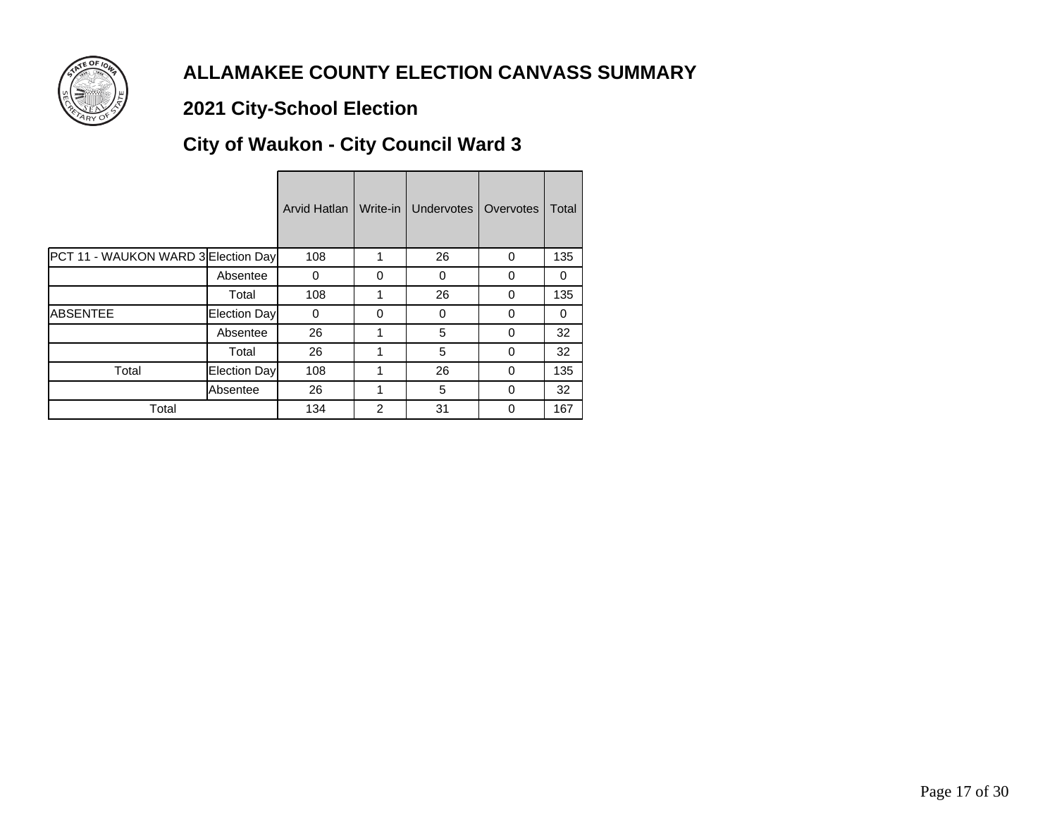

# **2021 City-School Election**

# **City of Waukon - City Council Ward 3**

|                                     |              | Arvid Hatlan | Write-in       | <b>Undervotes</b> | Overvotes | Total |
|-------------------------------------|--------------|--------------|----------------|-------------------|-----------|-------|
| PCT 11 - WAUKON WARD 3 Election Day |              | 108          |                | 26                | 0         | 135   |
|                                     | Absentee     | 0            | 0              | 0                 | 0         | 0     |
|                                     | Total        | 108          |                | 26                | $\Omega$  | 135   |
| <b>ABSENTEE</b>                     | Election Day | $\Omega$     | $\Omega$       | 0                 | 0         | 0     |
|                                     | Absentee     | 26           |                | 5                 | $\Omega$  | 32    |
|                                     | Total        | 26           | 1              | 5                 | $\Omega$  | 32    |
| Total                               | Election Day | 108          | 1              | 26                | $\Omega$  | 135   |
|                                     | lAbsentee    | 26           |                | 5                 | 0         | 32    |
| Total                               |              | 134          | $\overline{2}$ | 31                | 0         | 167   |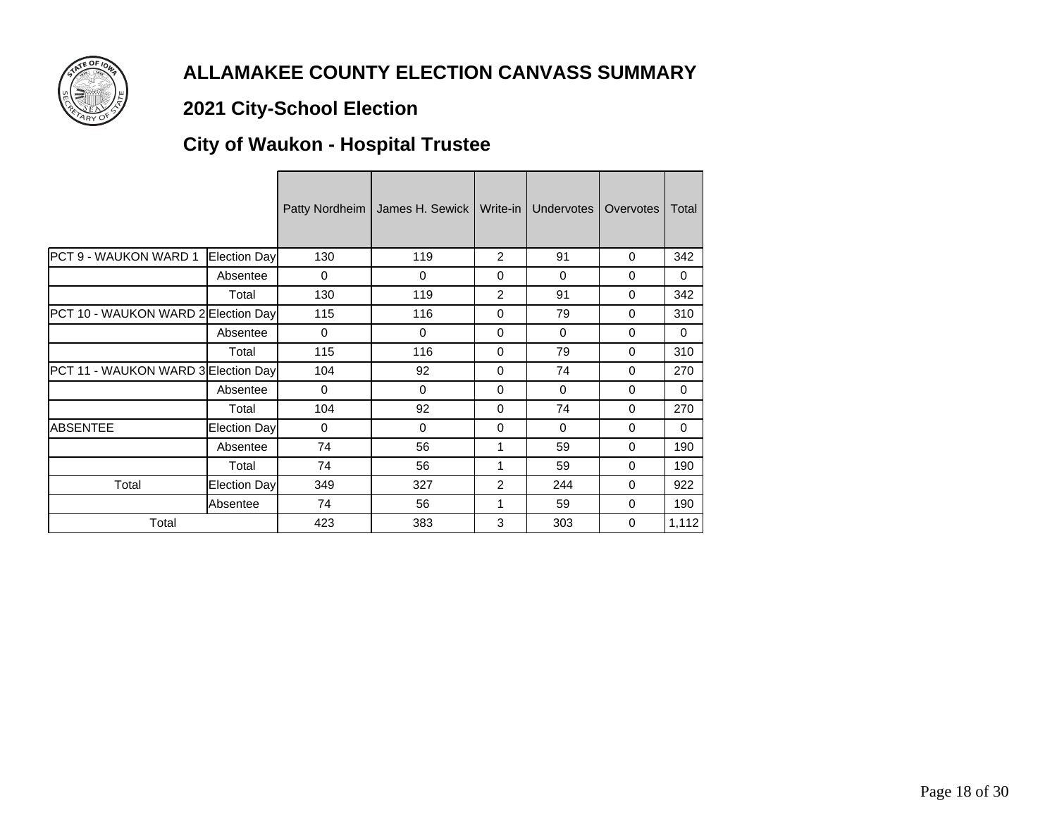

# **2021 City-School Election**

# **City of Waukon - Hospital Trustee**

|                                     |                     | Patty Nordheim | James H. Sewick | Write-in       | Undervotes | Overvotes | Total    |
|-------------------------------------|---------------------|----------------|-----------------|----------------|------------|-----------|----------|
| PCT 9 - WAUKON WARD 1               | Election Day        | 130            | 119             | $\overline{2}$ | 91         | $\Omega$  | 342      |
|                                     | Absentee            | 0              | $\Omega$        | $\Omega$       | $\Omega$   | $\Omega$  | $\Omega$ |
|                                     | Total               | 130            | 119             | 2              | 91         | $\Omega$  | 342      |
| PCT 10 - WAUKON WARD 2 Election Day |                     | 115            | 116             | $\Omega$       | 79         | $\Omega$  | 310      |
|                                     | Absentee            | $\Omega$       | $\Omega$        | 0              | $\Omega$   | 0         | $\Omega$ |
|                                     | Total               | 115            | 116             | $\Omega$       | 79         | $\Omega$  | 310      |
| PCT 11 - WAUKON WARD 3 Election Day |                     | 104            | 92              | 0              | 74         | $\Omega$  | 270      |
|                                     | Absentee            | $\Omega$       | $\Omega$        | $\Omega$       | $\Omega$   | $\Omega$  | $\Omega$ |
|                                     | Total               | 104            | 92              | $\Omega$       | 74         | $\Omega$  | 270      |
| <b>ABSENTEE</b>                     | <b>Election Day</b> | $\Omega$       | $\Omega$        | 0              | $\Omega$   | $\Omega$  | $\Omega$ |
|                                     | Absentee            | 74             | 56              | 1              | 59         | 0         | 190      |
|                                     | Total               | 74             | 56              | 1              | 59         | $\Omega$  | 190      |
| Total                               | <b>Election Day</b> | 349            | 327             | 2              | 244        | 0         | 922      |
|                                     | Absentee            | 74             | 56              | 1              | 59         | 0         | 190      |
| Total                               |                     | 423            | 383             | 3              | 303        | $\Omega$  | 1,112    |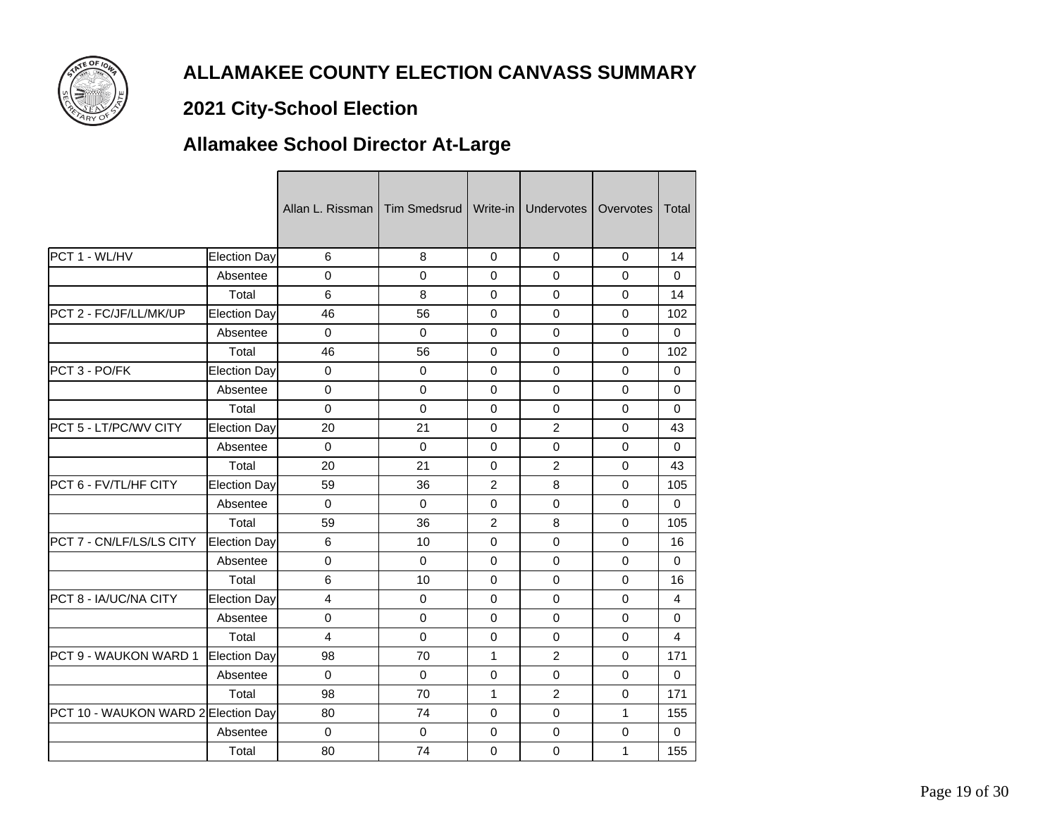

# **2021 City-School Election**

# **Allamakee School Director At-Large**

|                                     |                     | Allan L. Rissman   Tim Smedsrud |             | Write-in       | <b>Undervotes</b> | Overvotes   | Total       |
|-------------------------------------|---------------------|---------------------------------|-------------|----------------|-------------------|-------------|-------------|
| PCT 1 - WL/HV                       | Election Day        | 6                               | 8           | $\Omega$       | $\mathbf 0$       | 0           | 14          |
|                                     | Absentee            | $\mathbf 0$                     | $\mathbf 0$ | $\Omega$       | $\mathbf 0$       | $\mathbf 0$ | $\Omega$    |
|                                     | Total               | 6                               | 8           | 0              | $\mathbf 0$       | $\Omega$    | 14          |
| PCT 2 - FC/JF/LL/MK/UP              | <b>Election Day</b> | 46                              | 56          | $\mathbf 0$    | $\mathbf 0$       | $\mathbf 0$ | 102         |
|                                     | Absentee            | $\mathbf 0$                     | $\Omega$    | $\Omega$       | $\mathbf 0$       | 0           | $\Omega$    |
|                                     | Total               | 46                              | 56          | $\Omega$       | $\mathbf 0$       | 0           | 102         |
| PCT 3 - PO/FK                       | Election Day        | $\mathbf 0$                     | $\Omega$    | $\Omega$       | $\Omega$          | $\Omega$    | $\Omega$    |
|                                     | Absentee            | $\Omega$                        | $\Omega$    | 0              | $\mathbf 0$       | 0           | $\Omega$    |
|                                     | Total               | $\mathbf 0$                     | $\mathbf 0$ | $\mathbf 0$    | $\mathbf 0$       | 0           | $\mathbf 0$ |
| PCT 5 - LT/PC/WV CITY               | Election Day        | 20                              | 21          | $\mathbf 0$    | $\overline{c}$    | 0           | 43          |
|                                     | Absentee            | $\mathbf 0$                     | $\mathbf 0$ | $\Omega$       | $\mathbf 0$       | $\Omega$    | $\Omega$    |
|                                     | Total               | 20                              | 21          | $\Omega$       | $\overline{2}$    | $\Omega$    | 43          |
| PCT 6 - FV/TL/HF CITY               | Election Day        | 59                              | 36          | 2              | 8                 | $\Omega$    | 105         |
|                                     | Absentee            | $\mathbf 0$                     | $\mathbf 0$ | $\mathbf 0$    | $\mathbf 0$       | $\mathbf 0$ | $\Omega$    |
|                                     | Total               | 59                              | 36          | $\overline{2}$ | 8                 | 0           | 105         |
| PCT 7 - CN/LF/LS/LS CITY            | Election Day        | 6                               | 10          | $\Omega$       | $\Omega$          | $\Omega$    | 16          |
|                                     | Absentee            | $\mathbf 0$                     | $\Omega$    | $\Omega$       | $\Omega$          | $\Omega$    | 0           |
|                                     | Total               | 6                               | 10          | $\Omega$       | $\Omega$          | $\Omega$    | 16          |
| PCT 8 - IA/UC/NA CITY               | <b>Election Day</b> | 4                               | $\mathbf 0$ | $\mathbf 0$    | $\pmb{0}$         | $\mathbf 0$ | 4           |
|                                     | Absentee            | $\mathbf 0$                     | $\mathbf 0$ | $\mathbf 0$    | $\mathbf 0$       | 0           | $\Omega$    |
|                                     | Total               | $\overline{4}$                  | $\Omega$    | $\Omega$       | $\mathbf 0$       | $\Omega$    | 4           |
| PCT 9 - WAUKON WARD 1               | Election Day        | 98                              | 70          | 1              | 2                 | $\Omega$    | 171         |
|                                     | Absentee            | $\Omega$                        | $\Omega$    | $\Omega$       | $\Omega$          | $\Omega$    | $\Omega$    |
|                                     | Total               | 98                              | 70          | $\mathbf{1}$   | $\overline{c}$    | 0           | 171         |
| PCT 10 - WAUKON WARD 2 Election Day |                     | 80                              | 74          | $\mathbf 0$    | $\mathbf 0$       | 1           | 155         |
|                                     | Absentee            | $\mathbf 0$                     | $\Omega$    | $\Omega$       | $\mathbf 0$       | $\mathbf 0$ | $\Omega$    |
|                                     | Total               | 80                              | 74          | 0              | $\mathbf 0$       | 1           | 155         |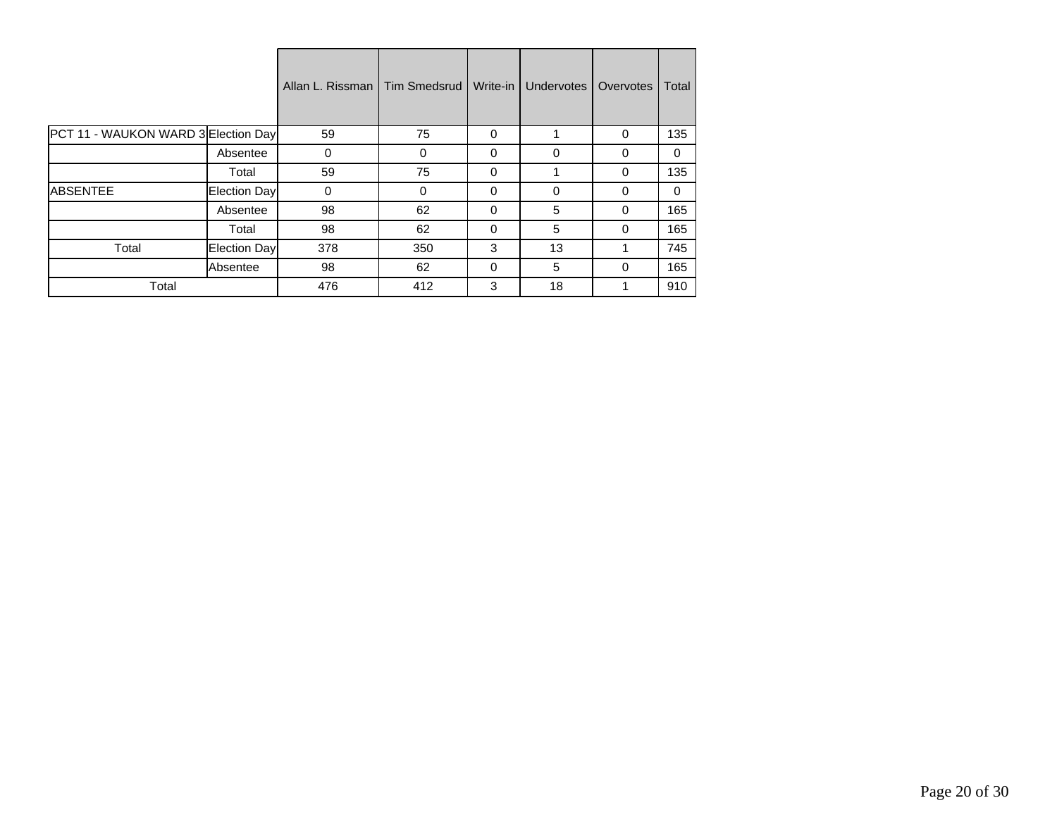|                                     |               | Allan L. Rissman | <b>Tim Smedsrud</b> | Write-in | Undervotes | Overvotes | Total    |
|-------------------------------------|---------------|------------------|---------------------|----------|------------|-----------|----------|
| PCT 11 - WAUKON WARD 3 Election Day |               | 59               | 75                  | $\Omega$ | 1          | $\Omega$  | 135      |
|                                     | Absentee      | $\mathbf 0$      | $\Omega$            | $\Omega$ | $\Omega$   | $\Omega$  | $\Omega$ |
|                                     | Total         | 59               | 75                  | 0        | ◢          | $\Omega$  | 135      |
| <b>IABSENTEE</b>                    | Election Dayl | $\mathbf 0$      | 0                   | 0        | $\Omega$   | 0         | $\Omega$ |
|                                     | Absentee      | 98               | 62                  | $\Omega$ | 5          | $\Omega$  | 165      |
|                                     | Total         | 98               | 62                  | $\Omega$ | 5          | $\Omega$  | 165      |
| Total                               | Election Day  | 378              | 350                 | 3        | 13         |           | 745      |
|                                     | Absentee      | 98               | 62                  | $\Omega$ | 5          | $\Omega$  | 165      |
| Total                               |               | 476              | 412                 | 3        | 18         |           | 910      |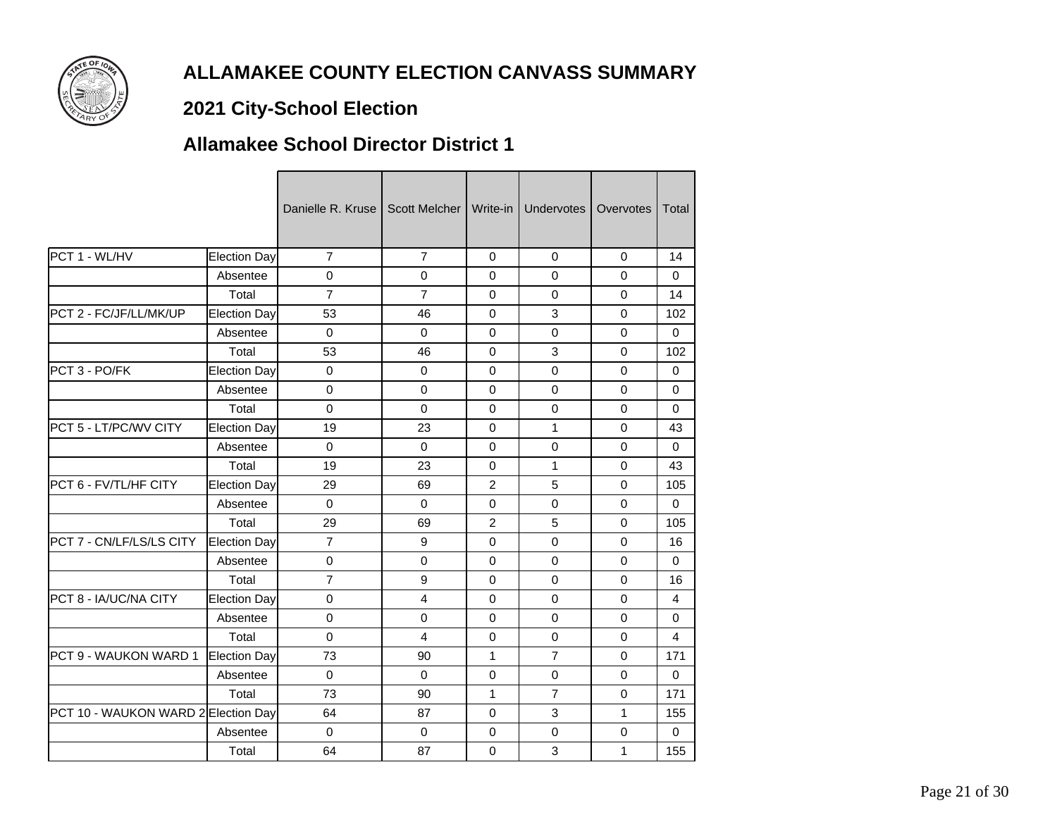

# **2021 City-School Election**

#### **Allamakee School Director District 1**

|                                     |                     | Danielle R. Kruse I | Scott Melcher   Write-in |                | Undervotes     | Overvotes    | Total       |
|-------------------------------------|---------------------|---------------------|--------------------------|----------------|----------------|--------------|-------------|
| PCT 1 - WL/HV                       | Election Day        | $\overline{7}$      | $\overline{7}$           | $\mathbf 0$    | $\Omega$       | $\mathbf{0}$ | 14          |
|                                     | Absentee            | 0                   | $\mathbf 0$              | $\mathbf 0$    | $\Omega$       | $\Omega$     | $\Omega$    |
|                                     | Total               | $\overline{7}$      | $\overline{7}$           | $\Omega$       | $\Omega$       | $\Omega$     | 14          |
| PCT 2 - FC/JF/LL/MK/UP              | <b>Election Day</b> | 53                  | 46                       | $\mathbf 0$    | $\mathbf{3}$   | $\mathbf 0$  | 102         |
|                                     | Absentee            | $\mathbf 0$         | $\Omega$                 | $\mathbf 0$    | $\mathbf 0$    | $\Omega$     | $\Omega$    |
|                                     | Total               | 53                  | 46                       | $\mathbf 0$    | 3              | $\Omega$     | 102         |
| PCT 3 - PO/FK                       | Election Day        | 0                   | $\Omega$                 | $\Omega$       | $\Omega$       | $\Omega$     | $\Omega$    |
|                                     | Absentee            | $\Omega$            | $\Omega$                 | 0              | 0              | 0            | $\Omega$    |
|                                     | Total               | 0                   | $\mathbf 0$              | $\mathbf 0$    | $\mathbf 0$    | $\mathbf 0$  | $\mathbf 0$ |
| PCT 5 - LT/PC/WV CITY               | <b>Election Day</b> | 19                  | 23                       | $\mathbf 0$    | 1              | $\Omega$     | 43          |
|                                     | Absentee            | $\Omega$            | $\Omega$                 | $\Omega$       | $\Omega$       | $\Omega$     | $\Omega$    |
|                                     | Total               | 19                  | 23                       | $\Omega$       | 1              | $\Omega$     | 43          |
| PCT 6 - FV/TL/HF CITY               | Election Day        | 29                  | 69                       | $\overline{2}$ | 5              | $\Omega$     | 105         |
|                                     | Absentee            | $\mathbf 0$         | $\Omega$                 | $\Omega$       | $\Omega$       | $\Omega$     | $\Omega$    |
|                                     | Total               | 29                  | 69                       | $\overline{2}$ | 5              | $\mathbf 0$  | 105         |
| PCT 7 - CN/LF/LS/LS CITY            | Election Day        | $\overline{7}$      | 9                        | $\Omega$       | $\Omega$       | $\Omega$     | 16          |
|                                     | Absentee            | 0                   | $\Omega$                 | $\mathbf 0$    | $\Omega$       | $\Omega$     | $\Omega$    |
|                                     | Total               | $\overline{7}$      | 9                        | $\Omega$       | $\Omega$       | $\Omega$     | 16          |
| PCT 8 - IA/UC/NA CITY               | <b>Election Day</b> | $\mathbf 0$         | $\overline{4}$           | $\mathbf 0$    | $\mathbf 0$    | $\Omega$     | 4           |
|                                     | Absentee            | $\mathbf 0$         | $\Omega$                 | $\mathbf 0$    | $\mathbf 0$    | $\mathbf 0$  | 0           |
|                                     | Total               | $\Omega$            | 4                        | 0              | $\Omega$       | $\Omega$     | 4           |
| PCT 9 - WAUKON WARD 1               | Election Day        | 73                  | 90                       | 1              | $\overline{7}$ | 0            | 171         |
|                                     | Absentee            | $\mathbf 0$         | $\Omega$                 | $\mathbf 0$    | $\mathbf 0$    | $\Omega$     | $\Omega$    |
|                                     | Total               | 73                  | 90                       | 1              | $\overline{7}$ | $\Omega$     | 171         |
| PCT 10 - WAUKON WARD 2 Election Day |                     | 64                  | 87                       | $\mathbf 0$    | $\mathbf{3}$   | 1            | 155         |
|                                     | Absentee            | $\Omega$            | $\Omega$                 | $\Omega$       | $\Omega$       | $\Omega$     | $\Omega$    |
|                                     | Total               | 64                  | 87                       | 0              | 3              | 1            | 155         |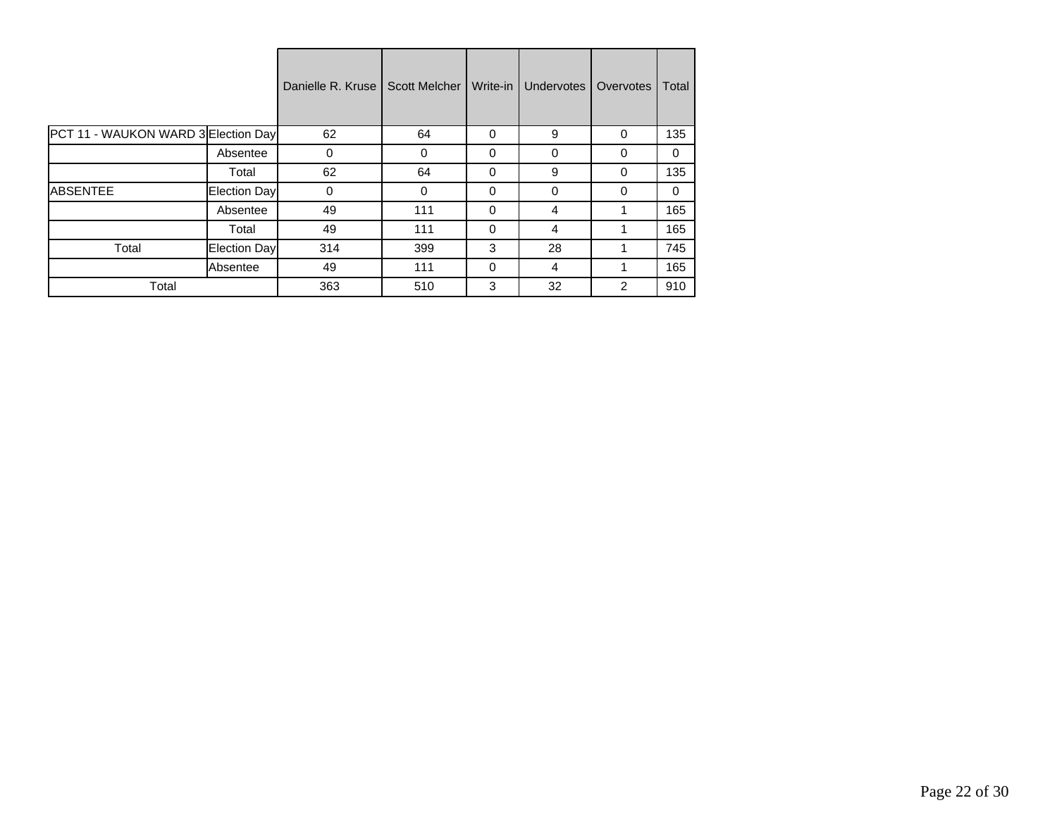|                                     |               | Danielle R. Kruse | <b>Scott Melcher</b> | Write-in | <b>Undervotes</b> | Overvotes      | Total    |
|-------------------------------------|---------------|-------------------|----------------------|----------|-------------------|----------------|----------|
| PCT 11 - WAUKON WARD 3 Election Day |               | 62                | 64                   | $\Omega$ | 9                 | $\Omega$       | 135      |
|                                     | Absentee      | 0                 | $\Omega$             | $\Omega$ | $\Omega$          | $\Omega$       | $\Omega$ |
|                                     | Total         | 62                | 64                   | 0        | 9                 | $\Omega$       | 135      |
| <b>ABSENTEE</b>                     | Election Dayl | 0                 | 0                    | 0        | $\Omega$          | $\Omega$       | $\Omega$ |
|                                     | Absentee      | 49                | 111                  | $\Omega$ | 4                 | 1              | 165      |
|                                     | Total         | 49                | 111                  | $\Omega$ | 4                 | 1              | 165      |
| Total                               | Election Day  | 314               | 399                  | 3        | 28                |                | 745      |
|                                     | Absentee      | 49                | 111                  | $\Omega$ | 4                 |                | 165      |
| Total                               |               | 363               | 510                  | 3        | 32                | $\overline{2}$ | 910      |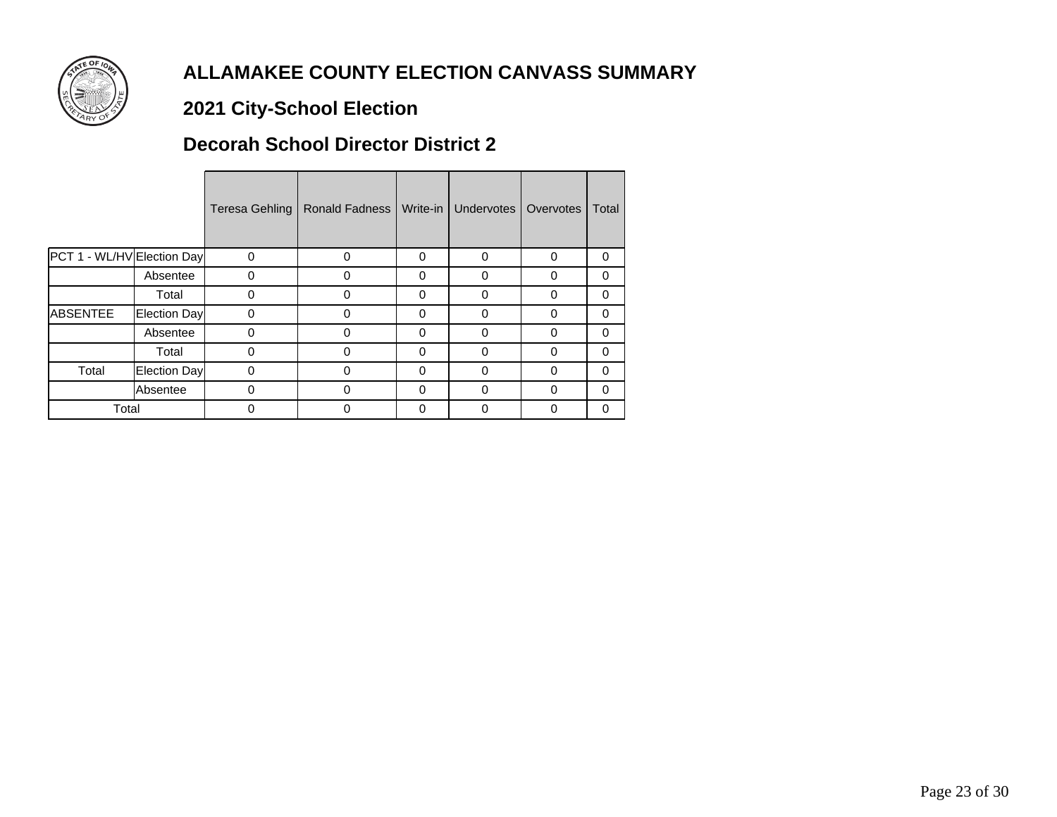

# **2021 City-School Election**

#### **Decorah School Director District 2**

|                            |              | <b>Teresa Gehling</b> | Ronald Fadness | Write-in | Undervotes | Overvotes | Total    |
|----------------------------|--------------|-----------------------|----------------|----------|------------|-----------|----------|
| PCT 1 - WL/HV Election Day |              | $\mathbf 0$           | $\Omega$       | 0        | 0          | 0         | 0        |
|                            | Absentee     | 0                     | 0              | 0        | 0          | 0         | 0        |
|                            | Total        | ი                     | 0              | 0        | 0          | 0         | 0        |
| <b>ABSENTEE</b>            | Election Day | ი                     | 0              | 0        | 0          | 0         | 0        |
|                            | Absentee     | ი                     | 0              | 0        | 0          | O         | 0        |
|                            | Total        | 0                     | 0              | 0        | 0          | O         | $\Omega$ |
| Total                      | Election Day | 0                     | 0              | 0        | 0          | 0         | $\Omega$ |
|                            | Absentee     | $\Omega$              | $\Omega$       | $\Omega$ | $\Omega$   | 0         | $\Omega$ |
| Total                      |              | 0                     | 0              | 0        | 0          | O         | 0        |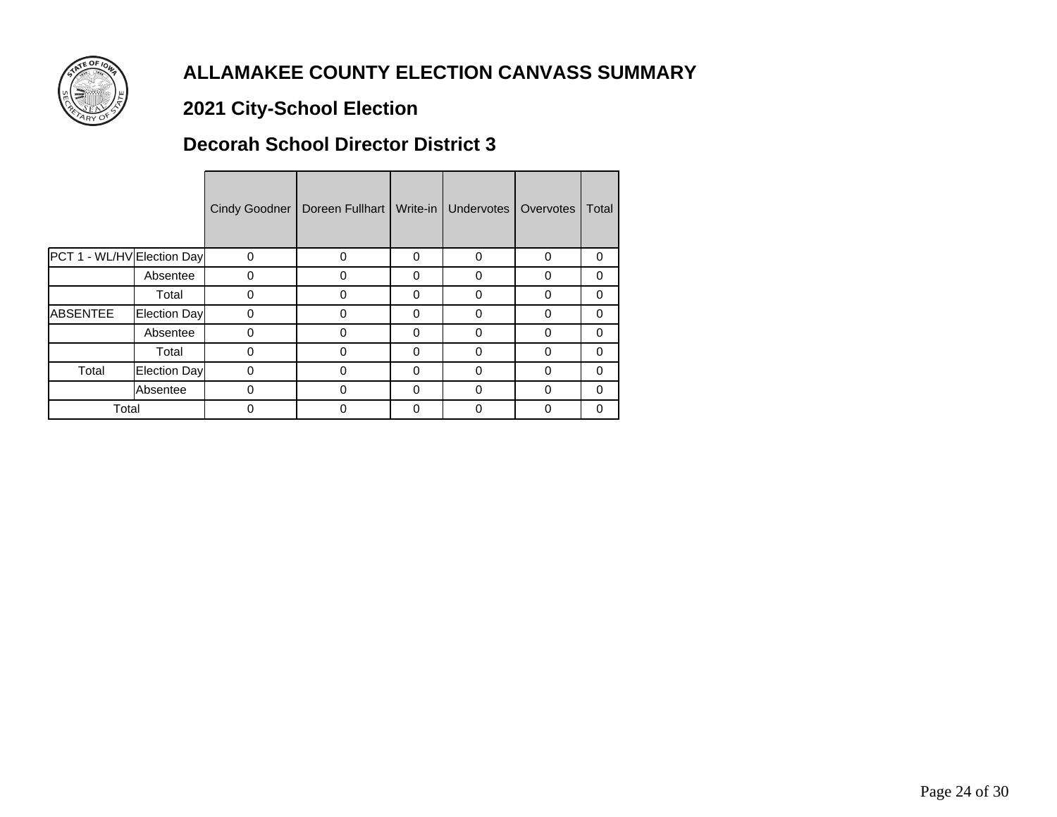

# **2021 City-School Election**

#### **Decorah School Director District 3**

|                            |              | Cindy Goodner | Doreen Fullhart | Write-in | <b>Undervotes</b> | Overvotes | Total    |
|----------------------------|--------------|---------------|-----------------|----------|-------------------|-----------|----------|
| PCT 1 - WL/HV Election Day |              | 0             | 0               | $\Omega$ | 0                 | $\Omega$  | 0        |
|                            | Absentee     | 0             | 0               | $\Omega$ | 0                 | 0         | 0        |
|                            | Total        | 0             | 0               | $\Omega$ | 0                 | $\Omega$  | 0        |
| ABSENTEE                   | Election Day | 0             | 0               | $\Omega$ | 0                 | 0         | 0        |
|                            | Absentee     | 0             | 0               | $\Omega$ | 0                 | 0         | 0        |
|                            | Total        | 0             | 0               | $\Omega$ | 0                 | O         | $\Omega$ |
| Total                      | Election Day | 0             | 0               | $\Omega$ | 0                 | 0         | $\Omega$ |
|                            | Absentee     | 0             | 0               | $\Omega$ | $\Omega$          | $\Omega$  | $\Omega$ |
| Total                      |              | 0             | 0               | $\Omega$ | 0                 | 0         | 0        |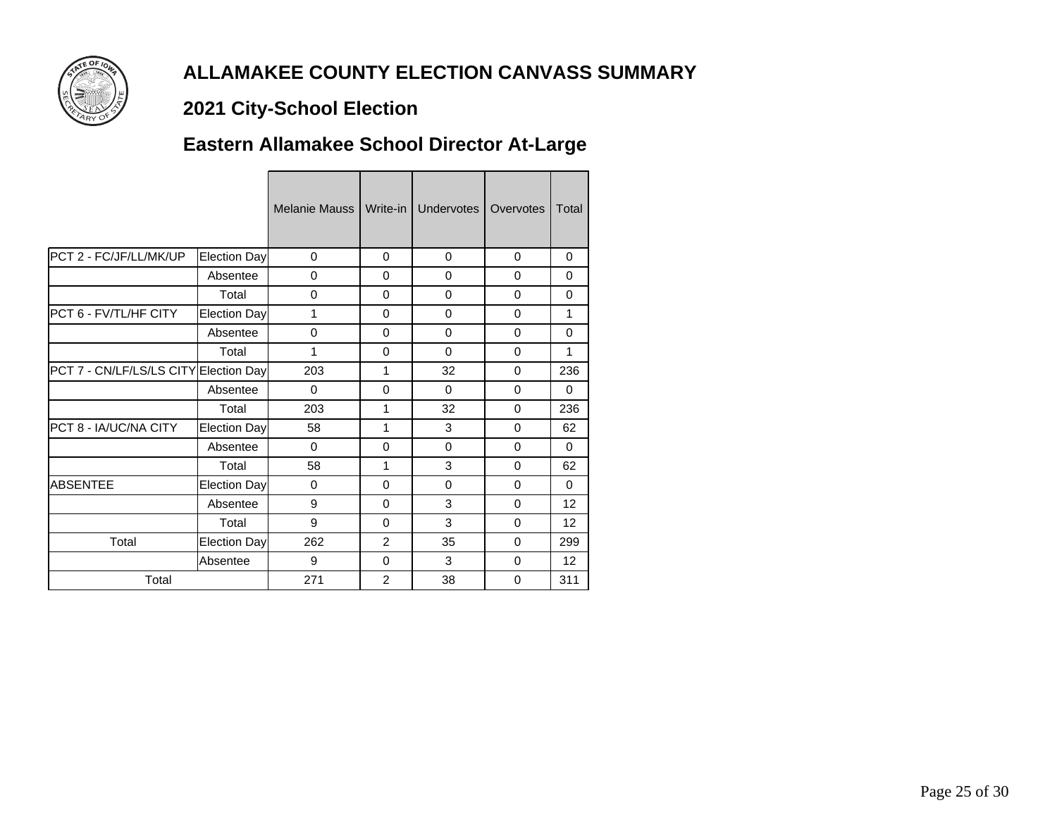

# **2021 City-School Election**

# **Eastern Allamakee School Director At-Large**

|                                       |                     | Melanie Mauss I | Write-in I     | Undervotes | Overvotes | Total           |
|---------------------------------------|---------------------|-----------------|----------------|------------|-----------|-----------------|
| PCT 2 - FC/JF/LL/MK/UP                | Election Day        | $\Omega$        | $\Omega$       | $\Omega$   | $\Omega$  | $\Omega$        |
|                                       | Absentee            | $\Omega$        | $\Omega$       | $\Omega$   | $\Omega$  | $\Omega$        |
|                                       | Total               | $\mathbf 0$     | $\Omega$       | $\Omega$   | $\Omega$  | $\Omega$        |
| PCT 6 - FV/TL/HF CITY                 | <b>Election Day</b> | 1               | $\Omega$       | $\Omega$   | $\Omega$  | 1               |
|                                       | Absentee            | $\mathbf 0$     | $\Omega$       | $\Omega$   | $\Omega$  | $\Omega$        |
|                                       | Total               | 1               | $\Omega$       | $\Omega$   | $\Omega$  | 1               |
| PCT 7 - CN/LF/LS/LS CITY Election Day |                     | 203             | 1              | 32         | $\Omega$  | 236             |
|                                       | Absentee            | $\Omega$        | $\Omega$       | $\Omega$   | $\Omega$  | $\Omega$        |
|                                       | Total               | 203             | 1              | 32         | $\Omega$  | 236             |
| PCT 8 - IA/UC/NA CITY                 | Election Day        | 58              | 1              | 3          | $\Omega$  | 62              |
|                                       | Absentee            | $\Omega$        | $\Omega$       | $\Omega$   | $\Omega$  | $\Omega$        |
|                                       | Total               | 58              | 1              | 3          | $\Omega$  | 62              |
| <b>ABSENTEE</b>                       | <b>Election Day</b> | 0               | $\Omega$       | $\Omega$   | $\Omega$  | $\Omega$        |
|                                       | Absentee            | 9               | $\Omega$       | 3          | $\Omega$  | 12              |
|                                       | Total               | 9               | $\Omega$       | 3          | $\Omega$  | 12 <sup>2</sup> |
| Total                                 | <b>Election Day</b> | 262             | $\overline{2}$ | 35         | $\Omega$  | 299             |
|                                       | Absentee            | 9               | $\Omega$       | 3          | $\Omega$  | 12 <sup>°</sup> |
| Total                                 |                     | 271             | $\overline{2}$ | 38         | 0         | 311             |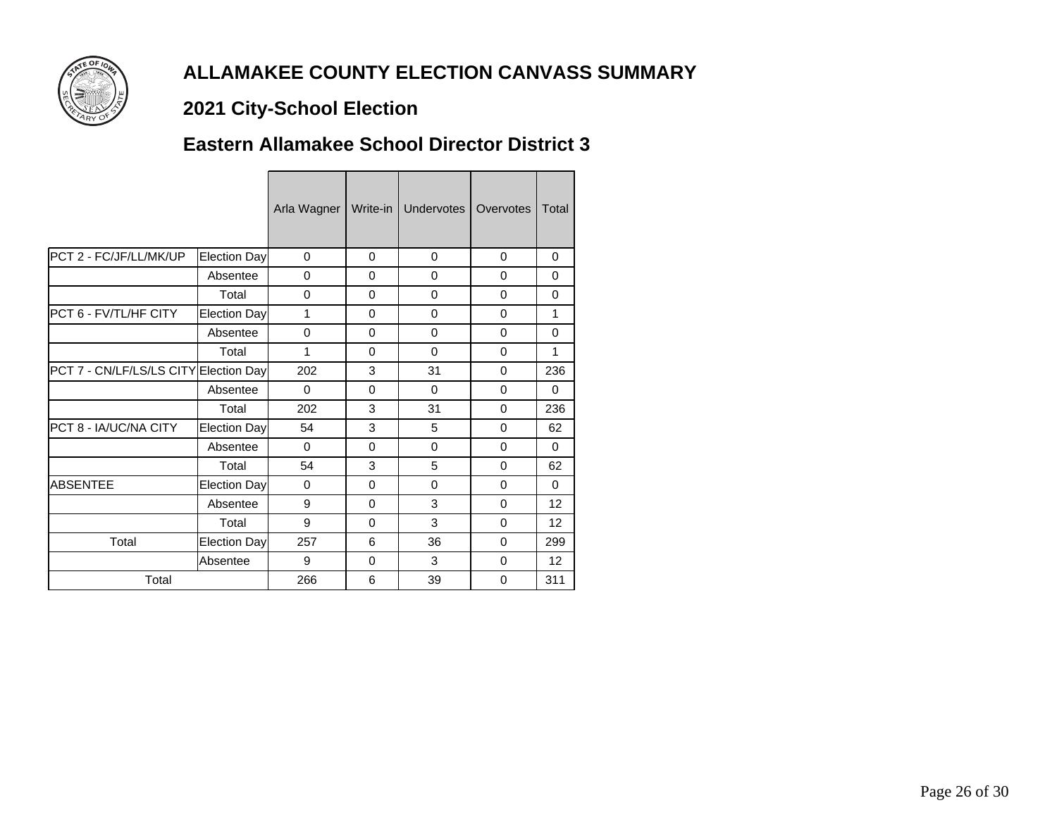

# **2021 City-School Election**

#### **Eastern Allamakee School Director District 3**

|                                       |                 | Arla Wagner | Write-in | Undervotes | Overvotes | Total        |
|---------------------------------------|-----------------|-------------|----------|------------|-----------|--------------|
| PCT 2 - FC/JF/LL/MK/UP                | Election Day    | 0           | $\Omega$ | $\Omega$   | $\Omega$  | $\Omega$     |
|                                       | Absentee        | $\Omega$    | $\Omega$ | $\Omega$   | $\Omega$  | $\Omega$     |
|                                       | Total           | 0           | $\Omega$ | $\Omega$   | $\Omega$  | $\Omega$     |
| PCT 6 - FV/TL/HF CITY                 | Election Day    | 1           | $\Omega$ | $\Omega$   | $\Omega$  | $\mathbf{1}$ |
|                                       | Absentee        | $\mathbf 0$ | $\Omega$ | $\Omega$   | $\Omega$  | $\Omega$     |
|                                       | Total           | 1           | $\Omega$ | $\Omega$   | $\Omega$  | $\mathbf{1}$ |
| PCT 7 - CN/LF/LS/LS CITY Election Day |                 | 202         | 3        | 31         | $\Omega$  | 236          |
|                                       | Absentee        | $\Omega$    | $\Omega$ | $\Omega$   | 0         | $\Omega$     |
|                                       | Total           | 202         | 3        | 31         | $\Omega$  | 236          |
| PCT 8 - IA/UC/NA CITY                 | Election Day    | 54          | 3        | 5          | $\Omega$  | 62           |
|                                       | Absentee        | $\Omega$    | $\Omega$ | $\Omega$   | $\Omega$  | $\Omega$     |
|                                       | Total           | 54          | 3        | 5          | $\Omega$  | 62           |
| <b>ABSENTEE</b>                       | Election Day    | 0           | $\Omega$ | $\Omega$   | $\Omega$  | $\Omega$     |
|                                       | Absentee        | 9           | $\Omega$ | 3          | $\Omega$  | 12           |
|                                       | Total           | 9           | $\Omega$ | 3          | $\Omega$  | 12           |
| Total                                 | Election Day    | 257         | 6        | 36         | $\Omega$  | 299          |
|                                       | <b>Absentee</b> | 9           | $\Omega$ | 3          | 0         | 12           |
| Total                                 |                 | 266         | 6        | 39         | 0         | 311          |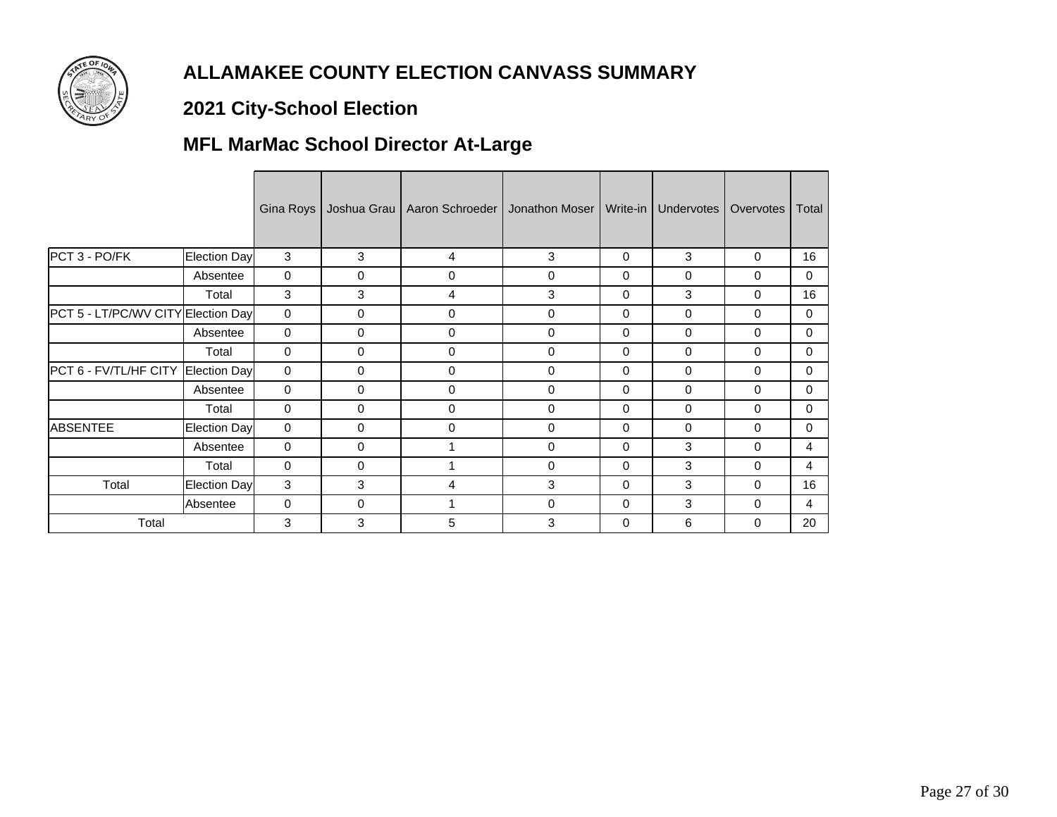

# **2021 City-School Election**

# **MFL MarMac School Director At-Large**

|                                    |              | Gina Roys   |   | Joshua Grau   Aaron Schroeder   Jonathon Moser |             | Write-in | Undervotes | Overvotes   | Total    |
|------------------------------------|--------------|-------------|---|------------------------------------------------|-------------|----------|------------|-------------|----------|
| PCT 3 - PO/FK                      | Election Day | 3           | 3 | $\overline{4}$                                 | 3           | 0        | 3          | 0           | 16       |
|                                    | Absentee     | $\Omega$    | 0 | 0                                              | $\pmb{0}$   | $\Omega$ | 0          | 0           | $\Omega$ |
|                                    | Total        | 3           | 3 | $\overline{4}$                                 | 3           | 0        | 3          | $\mathbf 0$ | 16       |
| PCT 5 - LT/PC/WV CITY Election Day |              | $\mathbf 0$ | 0 | 0                                              | 0           | $\Omega$ | 0          | $\mathbf 0$ | $\Omega$ |
|                                    | Absentee     | 0           | 0 | $\mathbf 0$                                    | $\mathbf 0$ | 0        | 0          | $\mathbf 0$ | $\Omega$ |
|                                    | Total        | 0           | 0 | $\Omega$                                       | $\mathbf 0$ | 0        | 0          | 0           | $\Omega$ |
| PCT 6 - FV/TL/HF CITY Election Day |              | 0           | 0 | $\mathbf 0$                                    | $\mathbf 0$ | 0        | 0          | 0           | $\Omega$ |
|                                    | Absentee     | $\mathbf 0$ | 0 | 0                                              | $\mathbf 0$ | 0        | 0          | $\mathbf 0$ | $\Omega$ |
|                                    | Total        | $\Omega$    | 0 | $\Omega$                                       | $\mathbf 0$ | 0        | 0          | $\mathbf 0$ | $\Omega$ |
| <b>ABSENTEE</b>                    | Election Day | 0           | 0 | 0                                              | $\mathbf 0$ | 0        | 0          | $\mathbf 0$ | $\Omega$ |
|                                    | Absentee     | $\Omega$    | 0 |                                                | 0           | $\Omega$ | 3          | $\mathbf 0$ | 4        |
|                                    | Total        | 0           | 0 | 1                                              | $\mathbf 0$ | $\Omega$ | 3          | $\mathbf 0$ | 4        |
| Total                              | Election Day | 3           | 3 | $\overline{4}$                                 | 3           | $\Omega$ | 3          | $\mathbf 0$ | 16       |
|                                    | Absentee     | $\mathbf 0$ | 0 | 1                                              | $\mathbf 0$ | 0        | 3          | $\mathbf 0$ | 4        |
| Total                              |              | 3           | 3 | 5                                              | 3           | 0        | 6          | $\Omega$    | 20       |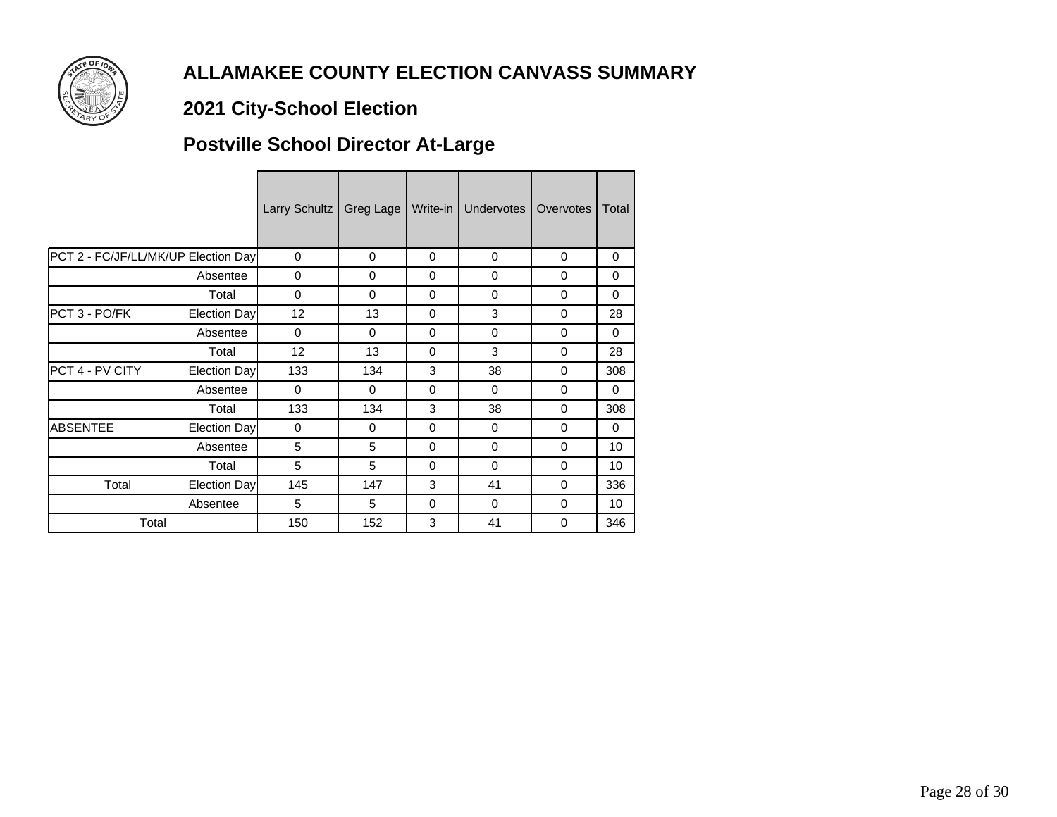

# **2021 City-School Election**

# **Postville School Director At-Large**

|                                     |              | Larry Schultz | Greg Lage | Write-in I | Undervotes | Overvotes | Total    |
|-------------------------------------|--------------|---------------|-----------|------------|------------|-----------|----------|
| PCT 2 - FC/JF/LL/MK/UP Election Day |              | $\Omega$      | $\Omega$  | $\Omega$   | $\Omega$   | $\Omega$  | $\Omega$ |
|                                     | Absentee     | $\Omega$      | $\Omega$  | $\Omega$   | $\Omega$   | $\Omega$  | $\Omega$ |
|                                     | Total        | $\Omega$      | $\Omega$  | $\Omega$   | $\Omega$   | $\Omega$  | $\Omega$ |
| PCT 3 - PO/FK                       | Election Day | 12            | 13        | $\Omega$   | 3          | $\Omega$  | 28       |
|                                     | Absentee     | $\Omega$      | $\Omega$  | $\Omega$   | $\Omega$   | $\Omega$  | $\Omega$ |
|                                     | Total        | 12            | 13        | $\Omega$   | 3          | $\Omega$  | 28       |
| PCT 4 - PV CITY                     | Election Day | 133           | 134       | 3          | 38         | $\Omega$  | 308      |
|                                     | Absentee     | $\Omega$      | $\Omega$  | $\Omega$   | $\Omega$   | $\Omega$  | $\Omega$ |
|                                     | Total        | 133           | 134       | 3          | 38         | $\Omega$  | 308      |
| <b>ABSENTEE</b>                     | Election Day | 0             | $\Omega$  | 0          | $\Omega$   | $\Omega$  | $\Omega$ |
|                                     | Absentee     | 5             | 5         | 0          | $\Omega$   | $\Omega$  | 10       |
|                                     | Total        | 5             | 5         | $\Omega$   | $\Omega$   | $\Omega$  | 10       |
| Total                               | Election Day | 145           | 147       | 3          | 41         | $\Omega$  | 336      |
|                                     | Absentee     | 5             | 5         | $\Omega$   | $\Omega$   | $\Omega$  | 10       |
| Total                               |              | 150           | 152       | 3          | 41         | $\Omega$  | 346      |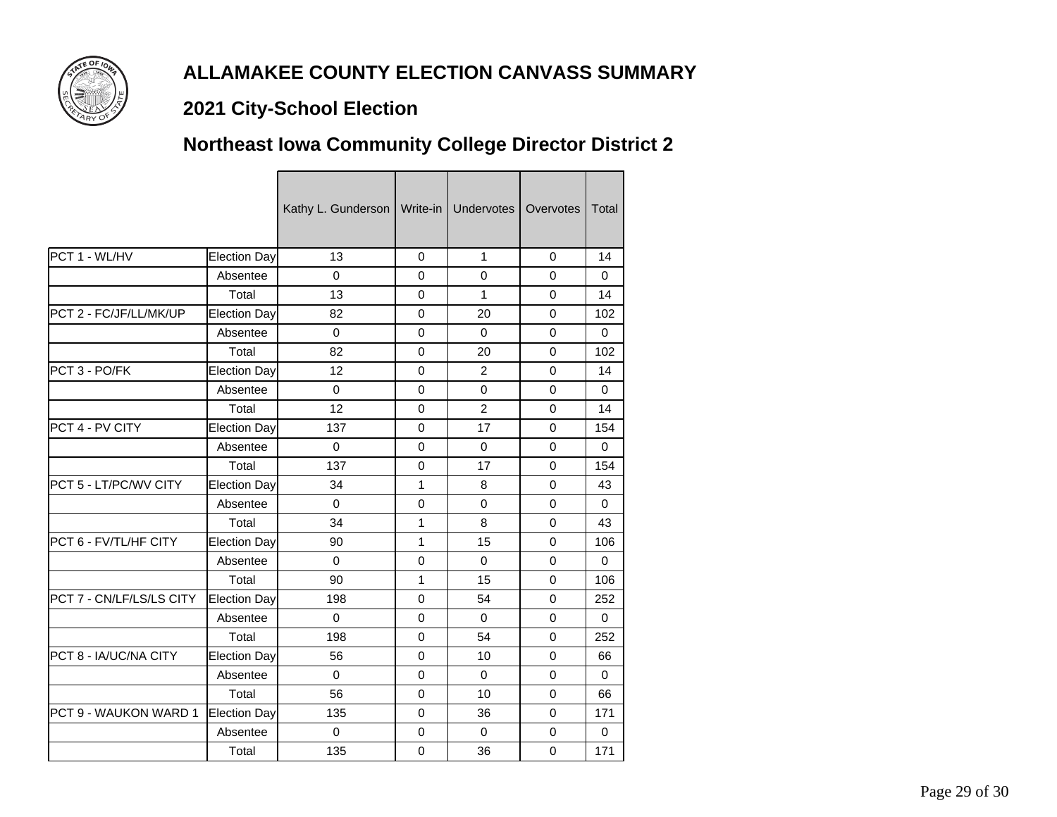

### **2021 City-School Election**

# **Northeast Iowa Community College Director District 2**

|                               |              | Kathy L. Gunderson | Write-in    | <b>Undervotes</b> | Overvotes   | <b>Total</b> |
|-------------------------------|--------------|--------------------|-------------|-------------------|-------------|--------------|
| PCT 1 - WL/HV                 | Election Day | 13                 | 0           | 1                 | $\Omega$    | 14           |
|                               | Absentee     | $\Omega$           | 0           | $\Omega$          | $\mathbf 0$ | $\Omega$     |
|                               | Total        | 13                 | 0           | 1                 | $\mathbf 0$ | 14           |
| PCT 2 - FC/JF/LL/MK/UP        | Election Day | 82                 | $\Omega$    | 20                | $\Omega$    | 102          |
|                               | Absentee     | $\Omega$           | 0           | $\Omega$          | 0           | $\Omega$     |
|                               | Total        | 82                 | $\mathbf 0$ | 20                | $\mathbf 0$ | 102          |
| PCT 3 - PO/FK                 | Election Day | 12                 | $\Omega$    | 2                 | $\Omega$    | 14           |
|                               | Absentee     | $\Omega$           | 0           | $\Omega$          | 0           | 0            |
|                               | Total        | 12                 | 0           | $\overline{2}$    | $\mathbf 0$ | 14           |
| <b>PCT 4 - PV CITY</b>        | Election Day | 137                | $\mathbf 0$ | 17                | $\Omega$    | 154          |
|                               | Absentee     | $\mathbf 0$        | $\mathbf 0$ | $\Omega$          | 0           | $\Omega$     |
|                               | Total        | 137                | 0           | 17                | $\mathbf 0$ | 154          |
| <b>PCT 5 - LT/PC/WV CITY</b>  | Election Day | 34                 | 1           | 8                 | $\Omega$    | 43           |
|                               | Absentee     | $\Omega$           | 0           | $\Omega$          | 0           | $\Omega$     |
|                               | Total        | 34                 | 1           | 8                 | $\mathbf 0$ | 43           |
| <b>IPCT 6 - FV/TL/HF CITY</b> | Election Day | 90                 | 1           | 15                | $\Omega$    | 106          |
|                               | Absentee     | $\Omega$           | 0           | $\Omega$          | $\mathbf 0$ | $\Omega$     |
|                               | Total        | 90                 | 1           | 15                | 0           | 106          |
| PCT 7 - CN/LF/LS/LS CITY      | Election Day | 198                | $\Omega$    | 54                | $\Omega$    | 252          |
|                               | Absentee     | $\mathbf 0$        | 0           | 0                 | 0           | 0            |
|                               | Total        | 198                | 0           | 54                | $\mathbf 0$ | 252          |
| <b>IPCT 8 - IA/UC/NA CITY</b> | Election Day | 56                 | $\Omega$    | 10                | $\Omega$    | 66           |
|                               | Absentee     | $\mathbf 0$        | 0           | 0                 | 0           | $\Omega$     |
|                               | Total        | 56                 | $\mathbf 0$ | 10                | $\mathbf 0$ | 66           |
| IPCT 9 - WAUKON WARD 1        | Election Day | 135                | 0           | 36                | $\Omega$    | 171          |
|                               | Absentee     | $\mathbf 0$        | 0           | $\mathbf 0$       | 0           | $\Omega$     |
|                               | Total        | 135                | $\mathbf 0$ | 36                | $\mathbf 0$ | 171          |